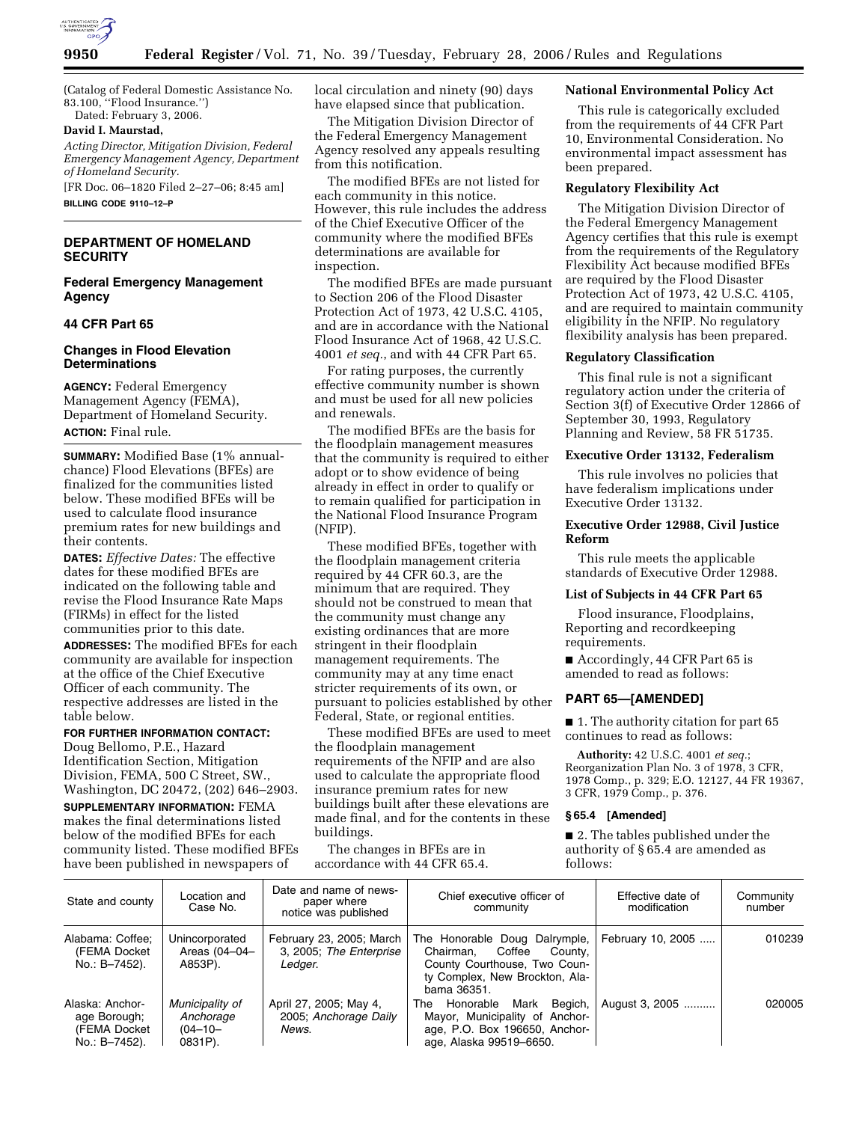

(Catalog of Federal Domestic Assistance No. 83.100, ''Flood Insurance.'') Dated: February 3, 2006.

#### **David I. Maurstad,**

*Acting Director, Mitigation Division, Federal Emergency Management Agency, Department of Homeland Security.* 

[FR Doc. 06–1820 Filed 2–27–06; 8:45 am] **BILLING CODE 9110–12–P** 

## **DEPARTMENT OF HOMELAND SECURITY**

### **Federal Emergency Management Agency**

## **44 CFR Part 65**

### **Changes in Flood Elevation Determinations**

**AGENCY:** Federal Emergency Management Agency (FEMA), Department of Homeland Security. **ACTION:** Final rule.

**SUMMARY:** Modified Base (1% annualchance) Flood Elevations (BFEs) are finalized for the communities listed below. These modified BFEs will be used to calculate flood insurance premium rates for new buildings and their contents.

**DATES:** *Effective Dates:* The effective dates for these modified BFEs are indicated on the following table and revise the Flood Insurance Rate Maps (FIRMs) in effect for the listed communities prior to this date.

**ADDRESSES:** The modified BFEs for each community are available for inspection at the office of the Chief Executive Officer of each community. The respective addresses are listed in the table below.

# **FOR FURTHER INFORMATION CONTACT:**

Doug Bellomo, P.E., Hazard Identification Section, Mitigation Division, FEMA, 500 C Street, SW., Washington, DC 20472, (202) 646–2903.

**SUPPLEMENTARY INFORMATION:** FEMA makes the final determinations listed below of the modified BFEs for each community listed. These modified BFEs have been published in newspapers of

local circulation and ninety (90) days have elapsed since that publication.

The Mitigation Division Director of the Federal Emergency Management Agency resolved any appeals resulting from this notification.

The modified BFEs are not listed for each community in this notice. However, this rule includes the address of the Chief Executive Officer of the community where the modified BFEs determinations are available for inspection.

The modified BFEs are made pursuant to Section 206 of the Flood Disaster Protection Act of 1973, 42 U.S.C. 4105, and are in accordance with the National Flood Insurance Act of 1968, 42 U.S.C. 4001 *et seq.*, and with 44 CFR Part 65.

For rating purposes, the currently effective community number is shown and must be used for all new policies and renewals.

The modified BFEs are the basis for the floodplain management measures that the community is required to either adopt or to show evidence of being already in effect in order to qualify or to remain qualified for participation in the National Flood Insurance Program (NFIP).

These modified BFEs, together with the floodplain management criteria required by 44 CFR 60.3, are the minimum that are required. They should not be construed to mean that the community must change any existing ordinances that are more stringent in their floodplain management requirements. The community may at any time enact stricter requirements of its own, or pursuant to policies established by other Federal, State, or regional entities.

These modified BFEs are used to meet the floodplain management requirements of the NFIP and are also used to calculate the appropriate flood insurance premium rates for new buildings built after these elevations are made final, and for the contents in these buildings.

The changes in BFEs are in accordance with 44 CFR 65.4.

#### **National Environmental Policy Act**

This rule is categorically excluded from the requirements of 44 CFR Part 10, Environmental Consideration. No environmental impact assessment has been prepared.

## **Regulatory Flexibility Act**

The Mitigation Division Director of the Federal Emergency Management Agency certifies that this rule is exempt from the requirements of the Regulatory Flexibility Act because modified BFEs are required by the Flood Disaster Protection Act of 1973, 42 U.S.C. 4105, and are required to maintain community eligibility in the NFIP. No regulatory flexibility analysis has been prepared.

#### **Regulatory Classification**

This final rule is not a significant regulatory action under the criteria of Section 3(f) of Executive Order 12866 of September 30, 1993, Regulatory Planning and Review, 58 FR 51735.

#### **Executive Order 13132, Federalism**

This rule involves no policies that have federalism implications under Executive Order 13132.

## **Executive Order 12988, Civil Justice Reform**

This rule meets the applicable standards of Executive Order 12988.

#### **List of Subjects in 44 CFR Part 65**

Flood insurance, Floodplains, Reporting and recordkeeping requirements.

■ Accordingly, 44 CFR Part 65 is amended to read as follows:

## **PART 65—[AMENDED]**

■ 1. The authority citation for part 65 continues to read as follows:

**Authority:** 42 U.S.C. 4001 *et seq.*; Reorganization Plan No. 3 of 1978, 3 CFR, 1978 Comp., p. 329; E.O. 12127, 44 FR 19367, 3 CFR, 1979 Comp., p. 376.

## **§ 65.4 [Amended]**

■ 2. The tables published under the authority of § 65.4 are amended as follows:

| State and county                                                 | Location and<br>Case No.                                | Date and name of news-<br>paper where<br>notice was published  | Chief executive officer of<br>community                                                                                                          | Effective date of<br>modification | Community<br>number |
|------------------------------------------------------------------|---------------------------------------------------------|----------------------------------------------------------------|--------------------------------------------------------------------------------------------------------------------------------------------------|-----------------------------------|---------------------|
| Alabama: Coffee:<br>(FEMA Docket)<br>No.: B-7452).               | Unincorporated<br>Areas (04-04-<br>A853P).              | February 23, 2005; March<br>3, 2005; The Enterprise<br>Ledger. | The Honorable Doug Dalrymple,<br>Chairman.<br>Coffee<br>Countv.<br>County Courthouse, Two Coun-<br>ty Complex, New Brockton, Ala-<br>bama 36351. | February 10, 2005                 | 010239              |
| Alaska: Anchor-<br>age Borough;<br>(FEMA Docket<br>No.: B-7452). | Municipality of<br>Anchorage<br>$(04 - 10 -$<br>0831P). | April 27, 2005; May 4,<br>2005; Anchorage Daily<br>News.       | Mark Begich,<br>Honorable<br>The<br>Mayor, Municipality of Anchor-<br>age, P.O. Box 196650, Anchor-<br>age, Alaska 99519-6650.                   | August 3, 2005                    | 020005              |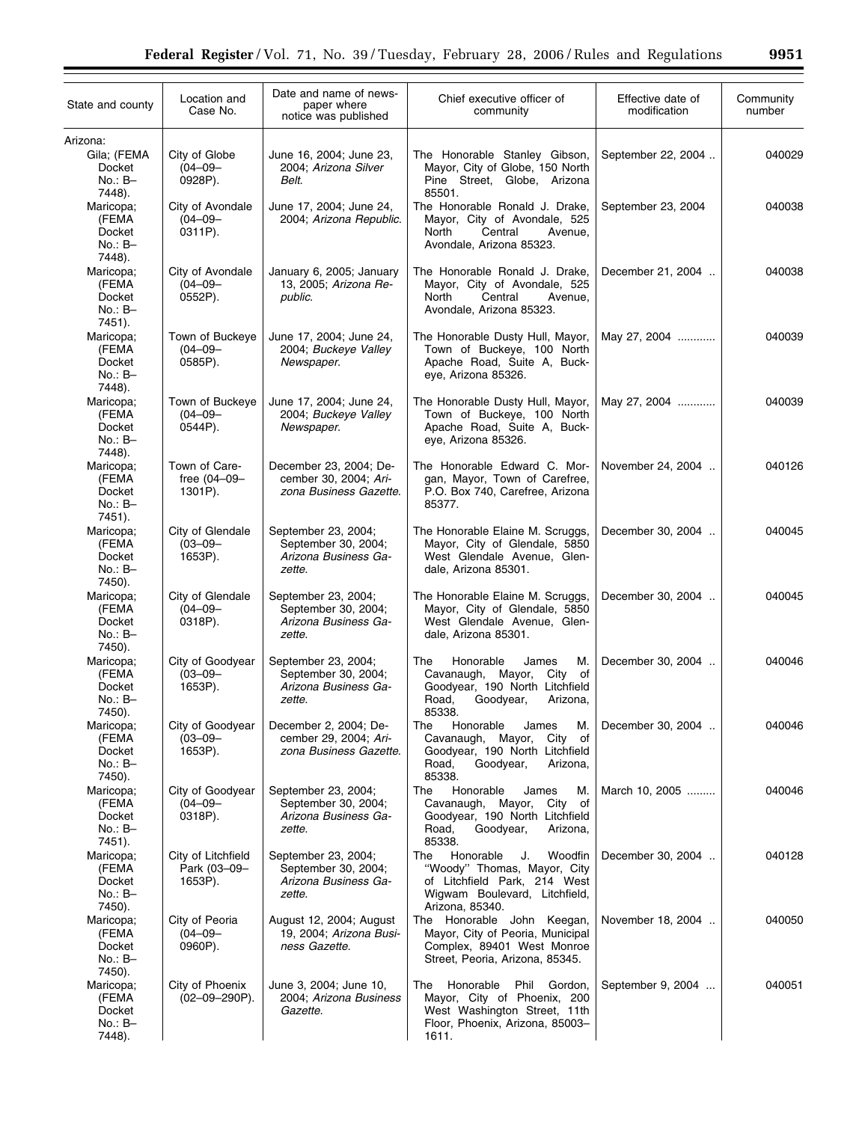| State and county                                              | Location and<br>Case No.                      | Date and name of news-<br>paper where<br>notice was published                | Chief executive officer of<br>community                                                                                                              | Effective date of<br>modification | Community<br>number |
|---------------------------------------------------------------|-----------------------------------------------|------------------------------------------------------------------------------|------------------------------------------------------------------------------------------------------------------------------------------------------|-----------------------------------|---------------------|
| Arizona:<br>Gila; (FEMA<br>Docket<br>$No.: B-$                | City of Globe<br>$(04 - 09 -$<br>0928P).      | June 16, 2004; June 23,<br>2004; Arizona Silver<br>Belt.                     | The Honorable Stanley Gibson,<br>Mayor, City of Globe, 150 North<br>Pine Street, Globe, Arizona                                                      | September 22, 2004                | 040029              |
| 7448).<br>Maricopa;<br>(FEMA<br>Docket<br>$No.: B-$           | City of Avondale<br>$(04 - 09 -$<br>0311P).   | June 17, 2004; June 24,<br>2004; Arizona Republic.                           | 85501.<br>The Honorable Ronald J. Drake,<br>Mayor, City of Avondale, 525<br>North<br>Central<br>Avenue,<br>Avondale, Arizona 85323.                  | September 23, 2004                | 040038              |
| 7448).<br>Maricopa;<br>(FEMA<br>Docket<br>$No.: B-$<br>7451). | City of Avondale<br>$(04 - 09 -$<br>0552P).   | January 6, 2005; January<br>13, 2005; Arizona Re-<br>public.                 | The Honorable Ronald J. Drake,<br>Mayor, City of Avondale, 525<br>Central<br>North<br>Avenue,<br>Avondale, Arizona 85323.                            | December 21, 2004                 | 040038              |
| Maricopa;<br>(FEMA<br>Docket<br>$No.: B-$<br>7448).           | Town of Buckeye<br>$(04 - 09 -$<br>0585P).    | June 17, 2004; June 24,<br>2004; Buckeye Valley<br>Newspaper.                | The Honorable Dusty Hull, Mayor,<br>Town of Buckeye, 100 North<br>Apache Road, Suite A, Buck-<br>eye, Arizona 85326.                                 | May 27, 2004                      | 040039              |
| Maricopa;<br>(FEMA<br>Docket<br>$No.: B-$                     | Town of Buckeye<br>$(04 - 09 -$<br>0544P).    | June 17, 2004; June 24,<br>2004; Buckeye Valley<br>Newspaper.                | The Honorable Dusty Hull, Mayor,<br>Town of Buckeye, 100 North<br>Apache Road, Suite A, Buck-<br>eye, Arizona 85326.                                 | May 27, 2004                      | 040039              |
| 7448).<br>Maricopa;<br>(FEMA<br>Docket<br>$No.: B-$           | Town of Care-<br>free $(04 - 09 -$<br>1301P). | December 23, 2004; De-<br>cember 30, 2004; Ari-<br>zona Business Gazette.    | The Honorable Edward C. Mor-<br>gan, Mayor, Town of Carefree,<br>P.O. Box 740, Carefree, Arizona<br>85377.                                           | November 24, 2004                 | 040126              |
| 7451).<br>Maricopa;<br>(FEMA<br>Docket<br>$No.: B-$           | City of Glendale<br>$(03 - 09 -$<br>1653P).   | September 23, 2004;<br>September 30, 2004;<br>Arizona Business Ga-<br>zette. | The Honorable Elaine M. Scruggs,<br>Mayor, City of Glendale, 5850<br>West Glendale Avenue, Glen-<br>dale, Arizona 85301.                             | December 30, 2004                 | 040045              |
| 7450).<br>Maricopa;<br>(FEMA<br>Docket<br>$No.: B-$           | City of Glendale<br>$(04 - 09 -$<br>0318P).   | September 23, 2004;<br>September 30, 2004;<br>Arizona Business Ga-<br>zette. | The Honorable Elaine M. Scruggs,<br>Mayor, City of Glendale, 5850<br>West Glendale Avenue, Glen-<br>dale, Arizona 85301.                             | December 30, 2004                 | 040045              |
| 7450).<br>Maricopa;<br>(FEMA<br>Docket<br>No.: B-             | City of Goodyear<br>$(03 - 09 -$<br>1653P).   | September 23, 2004;<br>September 30, 2004;<br>Arizona Business Ga-<br>zette. | М.<br>The<br>Honorable<br>James<br>Cavanaugh, Mayor,<br>City of<br>Goodyear, 190 North Litchfield<br>Road.<br>Goodyear,<br>Arizona,<br>85338.        | December 30, 2004                 | 040046              |
| 7450).<br>Maricopa;<br>(FEMA<br>Docket<br>$No.: B-$<br>7450). | City of Goodyear<br>$(03 - 09 -$<br>1653P).   | December 2, 2004; De-<br>cember 29, 2004; Ari-<br>zona Business Gazette.     | Honorable<br>James<br>The<br>М.<br>Cavanaugh,<br>Mayor,<br>City<br>of<br>Goodyear, 190 North Litchfield<br>Road,<br>Goodyear,<br>Arizona,<br>85338.  | December 30, 2004                 | 040046              |
| Maricopa;<br>(FEMA<br>Docket<br>No.: B-<br>7451).             | City of Goodyear<br>$(04 - 09 -$<br>0318P).   | September 23, 2004;<br>September 30, 2004;<br>Arizona Business Ga-<br>zette. | Honorable<br>James<br>М.<br>The<br>Cavanaugh,<br>Mayor,<br>City<br>of<br>Goodyear, 190 North Litchfield<br>Road,<br>Goodyear,<br>Arizona,<br>85338.  | March 10, 2005                    | 040046              |
| Maricopa;<br>(FEMA<br>Docket<br>$No.: B-$<br>7450).           | City of Litchfield<br>Park (03-09-<br>1653P). | September 23, 2004;<br>September 30, 2004;<br>Arizona Business Ga-<br>zette. | Honorable<br>Woodfin<br>J.<br>The<br>"Woody" Thomas, Mayor, City<br>of Litchfield Park, 214 West<br>Wigwam Boulevard, Litchfield,<br>Arizona, 85340. | December 30, 2004                 | 040128              |
| Maricopa;<br>(FEMA<br>Docket<br>$No.: B-$<br>7450).           | City of Peoria<br>$(04 - 09 -$<br>0960P).     | August 12, 2004; August<br>19, 2004; Arizona Busi-<br>ness Gazette.          | The Honorable John Keegan,<br>Mayor, City of Peoria, Municipal<br>Complex, 89401 West Monroe<br>Street, Peoria, Arizona, 85345.                      | November 18, 2004                 | 040050              |
| Maricopa;<br>(FEMA<br>Docket<br>$No.: B-$<br>7448).           | City of Phoenix<br>$(02 - 09 - 290P)$ .       | June 3, 2004; June 10,<br>2004; Arizona Business<br>Gazette.                 | Honorable<br>Phil Gordon,<br>The<br>Mayor, City of Phoenix, 200<br>West Washington Street, 11th<br>Floor, Phoenix, Arizona, 85003-<br>1611.          | September 9, 2004                 | 040051              |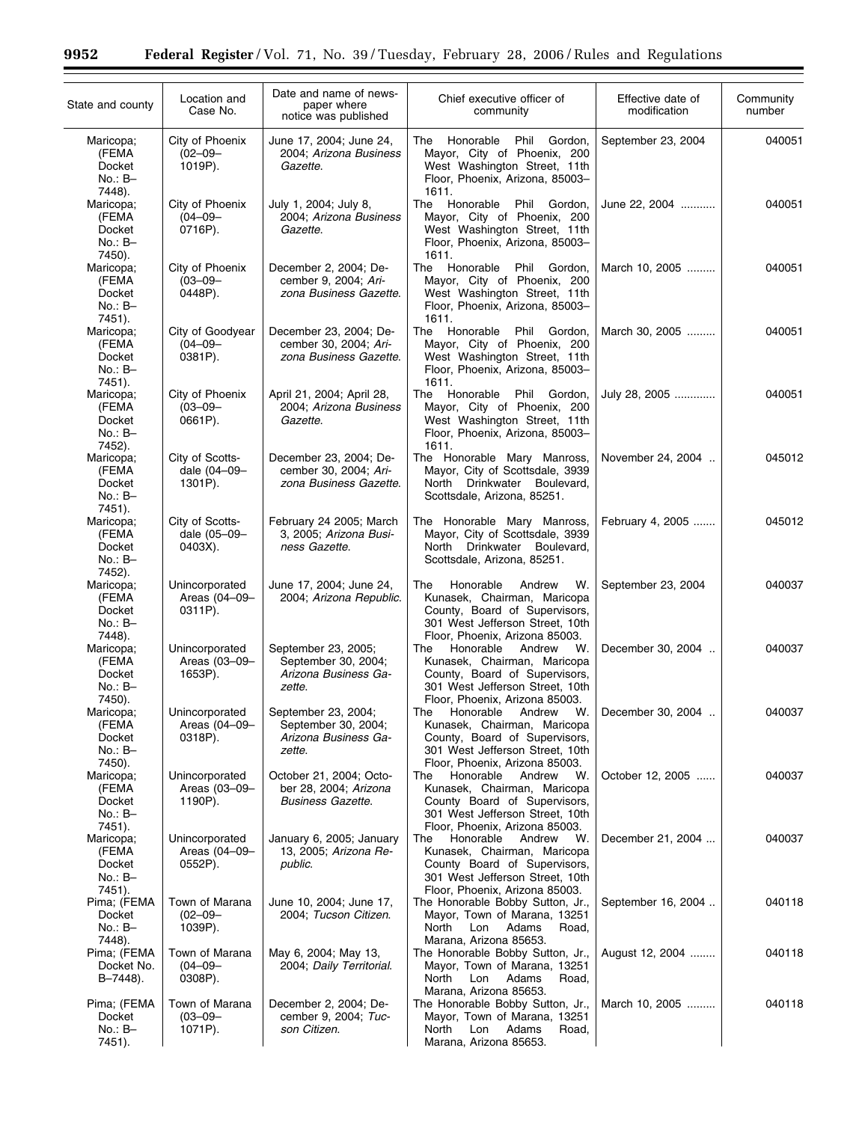÷.

| State and county                                    | Location and<br>Case No.                    | Date and name of news-<br>paper where<br>notice was published                | Chief executive officer of<br>community                                                                                                                               | Effective date of<br>modification | Community<br>number |
|-----------------------------------------------------|---------------------------------------------|------------------------------------------------------------------------------|-----------------------------------------------------------------------------------------------------------------------------------------------------------------------|-----------------------------------|---------------------|
| Maricopa;<br>(FEMA<br>Docket<br>$No.: B-$<br>7448). | City of Phoenix<br>$(02 - 09 -$<br>1019P).  | June 17, 2004; June 24,<br>2004; Arizona Business<br>Gazette.                | The Honorable Phil Gordon,<br>Mayor, City of Phoenix, 200<br>West Washington Street, 11th<br>Floor, Phoenix, Arizona, 85003-<br>1611.                                 | September 23, 2004                | 040051              |
| Maricopa;<br>(FEMA<br>Docket<br>$No.: B-$<br>7450). | City of Phoenix<br>$(04 - 09 -$<br>0716P).  | July 1, 2004; July 8,<br>2004; Arizona Business<br>Gazette.                  | The Honorable<br>Phil Gordon,<br>Mayor, City of Phoenix, 200<br>West Washington Street, 11th<br>Floor, Phoenix, Arizona, 85003-<br>1611.                              | June 22, 2004                     | 040051              |
| Maricopa;<br>(FEMA<br>Docket<br>$No.: B-$<br>7451). | City of Phoenix<br>$(03 - 09 -$<br>0448P).  | December 2, 2004; De-<br>cember 9, 2004; Ari-<br>zona Business Gazette.      | The Honorable<br>Phil Gordon.<br>Mayor, City of Phoenix, 200<br>West Washington Street, 11th<br>Floor, Phoenix, Arizona, 85003-<br>1611.                              | March 10, 2005                    | 040051              |
| Maricopa;<br>(FEMA<br>Docket<br>$No.: B-$<br>7451). | City of Goodyear<br>$(04 - 09 -$<br>0381P). | December 23, 2004; De-<br>cember 30, 2004; Ari-<br>zona Business Gazette.    | The Honorable<br>Phil Gordon,<br>Mayor, City of Phoenix, 200<br>West Washington Street, 11th<br>Floor, Phoenix, Arizona, 85003-<br>1611.                              | March 30, 2005                    | 040051              |
| Maricopa;<br>(FEMA<br>Docket<br>$No.: B-$<br>7452). | City of Phoenix<br>$(03 - 09 -$<br>0661P).  | April 21, 2004; April 28,<br>2004; Arizona Business<br>Gazette.              | Honorable<br>Phil Gordon,<br>The<br>Mayor, City of Phoenix, 200<br>West Washington Street, 11th<br>Floor, Phoenix, Arizona, 85003-<br>1611.                           | July 28, 2005                     | 040051              |
| Maricopa;<br>(FEMA<br>Docket<br>No.: B-<br>7451).   | City of Scotts-<br>dale (04-09-<br>1301P).  | December 23, 2004; De-<br>cember 30, 2004; Ari-<br>zona Business Gazette.    | The Honorable Mary Manross,<br>Mayor, City of Scottsdale, 3939<br>North Drinkwater Boulevard,<br>Scottsdale, Arizona, 85251.                                          | November 24, 2004                 | 045012              |
| Maricopa;<br>(FEMA<br>Docket<br>$No.: B-$<br>7452). | City of Scotts-<br>dale (05-09-<br>0403X).  | February 24 2005; March<br>3, 2005; Arizona Busi-<br>ness Gazette.           | The Honorable Mary Manross,<br>Mayor, City of Scottsdale, 3939<br>North Drinkwater Boulevard,<br>Scottsdale, Arizona, 85251.                                          | February 4, 2005                  | 045012              |
| Maricopa;<br>(FEMA<br>Docket<br>$No.: B-$<br>7448). | Unincorporated<br>Areas (04-09-<br>0311P).  | June 17, 2004; June 24,<br>2004; Arizona Republic.                           | The<br>Honorable<br>Andrew<br>W.<br>Kunasek, Chairman, Maricopa<br>County, Board of Supervisors,<br>301 West Jefferson Street, 10th<br>Floor, Phoenix, Arizona 85003. | September 23, 2004                | 040037              |
| Maricopa;<br>(FEMA<br>Docket<br>$No.: B-$<br>7450). | Unincorporated<br>Areas (03-09-<br>1653P).  | September 23, 2005;<br>September 30, 2004;<br>Arizona Business Ga-<br>zette. | W.<br>Honorable<br>Andrew<br>The<br>Kunasek, Chairman, Maricopa<br>County, Board of Supervisors,<br>301 West Jefferson Street, 10th<br>Floor, Phoenix, Arizona 85003. | December 30, 2004                 | 040037              |
| Maricopa:<br>(FEMA<br>Docket<br>No.: B-<br>7450).   | Unincorporated<br>Areas (04-09-<br>0318P).  | September 23, 2004;<br>September 30, 2004;<br>Arizona Business Ga-<br>zette. | The<br>Honorable<br>Andrew<br>W.<br>Kunasek, Chairman, Maricopa<br>County, Board of Supervisors,<br>301 West Jefferson Street, 10th<br>Floor, Phoenix, Arizona 85003. | December 30, 2004                 | 040037              |
| Maricopa;<br>(FEMA<br>Docket<br>$No.: B-$<br>7451). | Unincorporated<br>Areas (03-09-<br>1190P).  | October 21, 2004; Octo-<br>ber 28, 2004; Arizona<br><b>Business Gazette.</b> | Honorable<br>Andrew<br>W.<br>The<br>Kunasek, Chairman, Maricopa<br>County Board of Supervisors,<br>301 West Jefferson Street, 10th<br>Floor, Phoenix, Arizona 85003.  | October 12, 2005                  | 040037              |
| Maricopa;<br>(FEMA<br>Docket<br>$No.: B-$<br>7451). | Unincorporated<br>Areas (04-09-<br>0552P).  | January 6, 2005; January<br>13, 2005; Arizona Re-<br>public.                 | Honorable<br>Andrew<br>The<br>W.<br>Kunasek, Chairman, Maricopa<br>County Board of Supervisors,<br>301 West Jefferson Street, 10th<br>Floor, Phoenix, Arizona 85003.  | December 21, 2004                 | 040037              |
| Pima; (FEMA<br>Docket<br>No.: B-<br>7448).          | Town of Marana<br>$(02 - 09 -$<br>1039P).   | June 10, 2004; June 17,<br>2004; Tucson Citizen.                             | The Honorable Bobby Sutton, Jr.,<br>Mayor, Town of Marana, 13251<br>North<br>Lon<br>Adams<br>Road,<br>Marana, Arizona 85653.                                          | September 16, 2004                | 040118              |
| Pima; (FEMA<br>Docket No.<br>B-7448).               | Town of Marana<br>$(04 - 09 -$<br>0308P).   | May 6, 2004; May 13,<br>2004; Daily Territorial.                             | The Honorable Bobby Sutton, Jr.,<br>Mayor, Town of Marana, 13251<br>North<br>Lon<br>Adams<br>Road,<br>Marana, Arizona 85653.                                          | August 12, 2004                   | 040118              |
| Pima; (FEMA<br>Docket<br>$No.: B-$<br>7451).        | Town of Marana<br>$(03 - 09 -$<br>1071P).   | December 2, 2004; De-<br>cember 9, 2004; Tuc-<br>son Citizen.                | The Honorable Bobby Sutton, Jr.,<br>Mayor, Town of Marana, 13251<br>Adams<br>North<br>Lon<br>Road,<br>Marana, Arizona 85653.                                          | March 10, 2005                    | 040118              |

 $\equiv$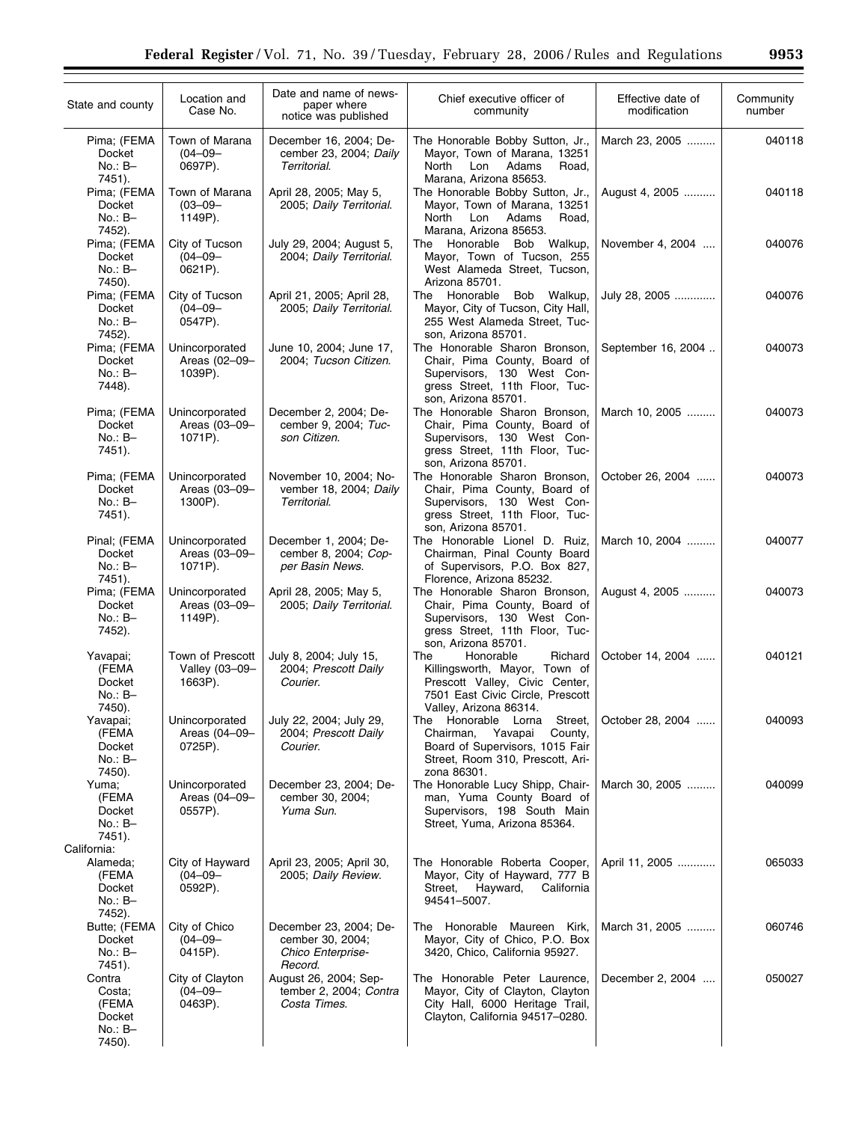| State and county                                               | Location and<br>Case No.                      | Date and name of news-<br>paper where<br>notice was published              | Chief executive officer of<br>community                                                                                                                      | Effective date of<br>modification | Community<br>number |
|----------------------------------------------------------------|-----------------------------------------------|----------------------------------------------------------------------------|--------------------------------------------------------------------------------------------------------------------------------------------------------------|-----------------------------------|---------------------|
| Pima; (FEMA<br>Docket<br>$No.: B-$<br>7451).                   | Town of Marana<br>$(04 - 09 -$<br>0697P).     | December 16, 2004; De-<br>cember 23, 2004; Daily<br>Territorial.           | The Honorable Bobby Sutton, Jr.,<br>Mayor, Town of Marana, 13251<br>North<br>Lon<br>Adams<br>Road,<br>Marana, Arizona 85653.                                 | March 23, 2005                    | 040118              |
| Pima; (FEMA<br>Docket<br>$No.: B-$<br>7452).                   | Town of Marana<br>$(03 - 09 -$<br>1149P).     | April 28, 2005; May 5,<br>2005; Daily Territorial.                         | The Honorable Bobby Sutton, Jr.,<br>Mayor, Town of Marana, 13251<br>Adams<br>Road,<br>North<br>Lon<br>Marana, Arizona 85653.                                 | August 4, 2005                    | 040118              |
| Pima; (FEMA<br>Docket<br>$No.: B-$<br>7450).                   | City of Tucson<br>$(04 - 09 -$<br>0621P).     | July 29, 2004; August 5,<br>2004; Daily Territorial.                       | The Honorable Bob Walkup,<br>Mayor, Town of Tucson, 255<br>West Alameda Street, Tucson,<br>Arizona 85701.                                                    | November 4, 2004                  | 040076              |
| Pima; (FEMA<br>Docket<br>$No.: B-$<br>7452).                   | City of Tucson<br>$(04 - 09 -$<br>0547P).     | April 21, 2005; April 28,<br>2005; Daily Territorial.                      | Honorable Bob Walkup,<br>The<br>Mayor, City of Tucson, City Hall,<br>255 West Alameda Street, Tuc-<br>son, Arizona 85701.                                    | July 28, 2005                     | 040076              |
| Pima; (FEMA<br>Docket<br>$No.: B-$<br>7448).                   | Unincorporated<br>Areas (02-09-<br>1039P).    | June 10, 2004; June 17,<br>2004; Tucson Citizen.                           | The Honorable Sharon Bronson,<br>Chair, Pima County, Board of<br>Supervisors, 130 West Con-<br>gress Street, 11th Floor, Tuc-<br>son, Arizona 85701.         | September 16, 2004                | 040073              |
| Pima; (FEMA<br>Docket<br>$No.: B-$<br>7451).                   | Unincorporated<br>Areas (03-09-<br>1071P).    | December 2, 2004; De-<br>cember 9, 2004; Tuc-<br>son Citizen.              | The Honorable Sharon Bronson,<br>Chair, Pima County, Board of<br>Supervisors, 130 West Con-<br>gress Street, 11th Floor, Tuc-<br>son. Arizona 85701.         | March 10, 2005                    | 040073              |
| Pima; (FEMA<br>Docket<br>$No.: B-$<br>7451).                   | Unincorporated<br>Areas (03-09-<br>1300P).    | November 10, 2004; No-<br>vember 18, 2004; Daily<br>Territorial.           | The Honorable Sharon Bronson,<br>Chair, Pima County, Board of<br>Supervisors, 130 West Con-<br>gress Street, 11th Floor, Tuc-<br>son, Arizona 85701.         | October 26, 2004                  | 040073              |
| Pinal; (FEMA<br>Docket<br>$No.: B-$<br>7451).                  | Unincorporated<br>Areas (03-09-<br>1071P).    | December 1, 2004; De-<br>cember 8, 2004; Cop-<br>per Basin News.           | The Honorable Lionel D. Ruiz,<br>Chairman, Pinal County Board<br>of Supervisors, P.O. Box 827,<br>Florence, Arizona 85232.                                   | March 10, 2004                    | 040077              |
| Pima; (FEMA<br>Docket<br>$No.: B-$<br>7452).                   | Unincorporated<br>Areas (03-09-<br>1149P).    | April 28, 2005; May 5,<br>2005; Daily Territorial.                         | The Honorable Sharon Bronson,<br>Chair, Pima County, Board of<br>Supervisors, 130 West Con-<br>gress Street, 11th Floor, Tuc-<br>son, Arizona 85701.         | August 4, 2005                    | 040073              |
| Yavapai;<br>(FEMA<br>Docket<br>$No.: B-$<br>7450).             | Town of Prescott<br>Valley (03-09-<br>1663P). | July 8, 2004; July 15,<br>2004; Prescott Daily<br>Courier.                 | Honorable<br>Richard<br>The<br>Killingsworth, Mayor, Town of<br>Prescott Valley, Civic Center,<br>7501 East Civic Circle, Prescott<br>Valley, Arizona 86314. | October 14, 2004                  | 040121              |
| Yavapai;<br>(FEMA<br>Docket<br>No.: B-<br>7450).               | Unincorporated<br>Areas (04-09-<br>0725P).    | July 22, 2004; July 29,<br>2004; Prescott Daily<br>Courier.                | Honorable Lorna<br>Street.<br>The<br>Chairman,<br>Yavapai<br>County,<br>Board of Supervisors, 1015 Fair<br>Street, Room 310, Prescott, Ari-<br>zona 86301.   | October 28, 2004                  | 040093              |
| Yuma;<br>(FEMA<br>Docket<br>$No.: B-$<br>7451).<br>California: | Unincorporated<br>Areas (04-09-<br>0557P).    | December 23, 2004; De-<br>cember 30, 2004;<br>Yuma Sun.                    | The Honorable Lucy Shipp, Chair-<br>man, Yuma County Board of<br>Supervisors, 198 South Main<br>Street, Yuma, Arizona 85364.                                 | March 30, 2005                    | 040099              |
| Alameda;<br>(FEMA<br>Docket<br>No.: B-<br>7452).               | City of Hayward<br>$(04 - 09 -$<br>0592P).    | April 23, 2005; April 30,<br>2005; Daily Review.                           | The Honorable Roberta Cooper,<br>Mayor, City of Hayward, 777 B<br>Hayward,<br>California<br>Street,<br>94541-5007.                                           | April 11, 2005                    | 065033              |
| Butte; (FEMA<br>Docket<br>$No.: B-$<br>7451).                  | City of Chico<br>$(04 - 09 -$<br>0415P).      | December 23, 2004; De-<br>cember 30, 2004;<br>Chico Enterprise-<br>Record. | The Honorable Maureen Kirk,<br>Mayor, City of Chico, P.O. Box<br>3420, Chico, California 95927.                                                              | March 31, 2005                    | 060746              |
| Contra<br>Costa;<br>(FEMA<br>Docket<br>$No.: B-$<br>7450).     | City of Clayton<br>$(04 - 09 -$<br>0463P).    | August 26, 2004; Sep-<br>tember 2, 2004; Contra<br>Costa Times.            | The Honorable Peter Laurence,<br>Mayor, City of Clayton, Clayton<br>City Hall, 6000 Heritage Trail,<br>Clayton, California 94517-0280.                       | December 2, 2004                  | 050027              |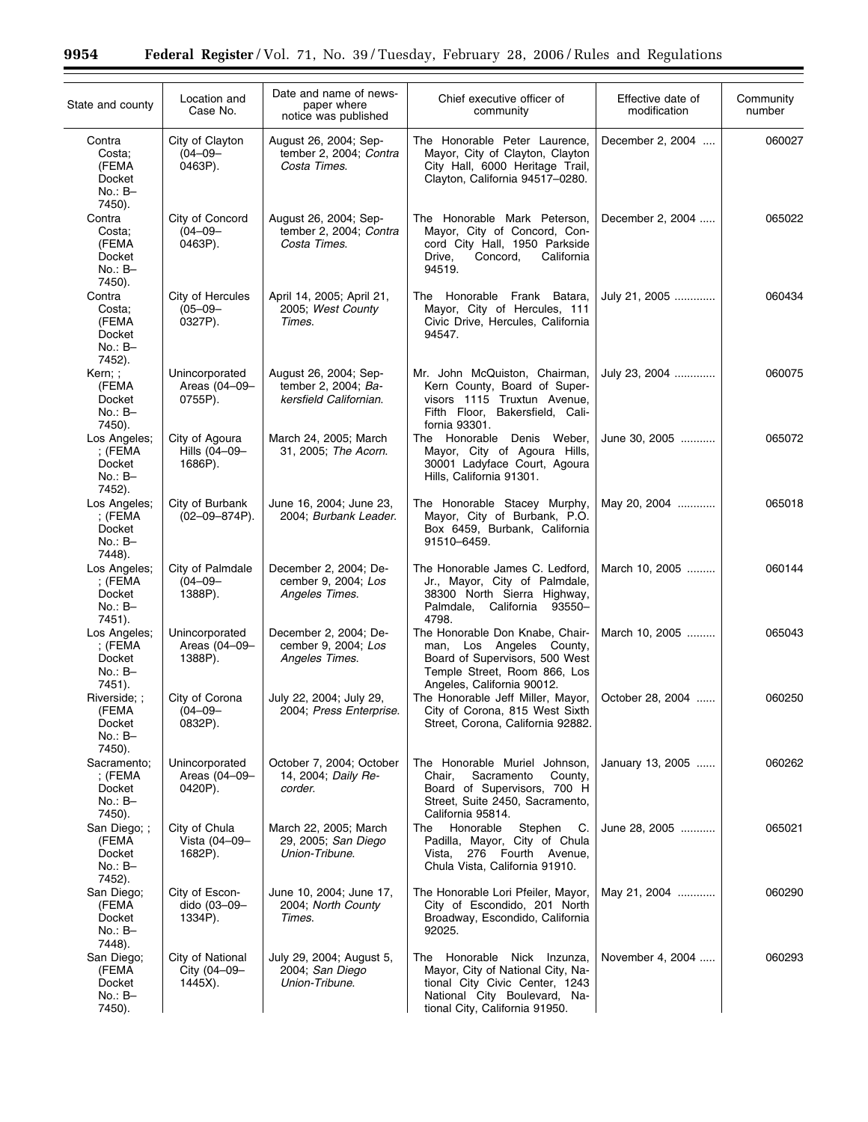÷.

| State and county                                                     | Location and<br>Case No.                    | Date and name of news-<br>paper where<br>notice was published          | Chief executive officer of<br>community                                                                                                                                 | Effective date of<br>modification | Community<br>number |
|----------------------------------------------------------------------|---------------------------------------------|------------------------------------------------------------------------|-------------------------------------------------------------------------------------------------------------------------------------------------------------------------|-----------------------------------|---------------------|
| Contra<br>Costa;<br>(FEMA<br>Docket<br>$No.: B-$<br>7450).           | City of Clayton<br>$(04 - 09 -$<br>0463P).  | August 26, 2004; Sep-<br>tember 2, 2004; Contra<br>Costa Times.        | The Honorable Peter Laurence,<br>Mayor, City of Clayton, Clayton<br>City Hall, 6000 Heritage Trail,<br>Clayton, California 94517-0280.                                  | December 2, 2004                  | 060027              |
| Contra<br>Costa;<br>(FEMA<br>Docket<br>$No.: B-$<br>7450).           | City of Concord<br>$(04 - 09 -$<br>0463P).  | August 26, 2004; Sep-<br>tember 2, 2004; Contra<br>Costa Times.        | The Honorable Mark Peterson,<br>Mayor, City of Concord, Con-<br>cord City Hall, 1950 Parkside<br>Drive,<br>Concord,<br>California<br>94519.                             | December 2, 2004                  | 065022              |
| Contra<br>Costa:<br>(FEMA<br>Docket<br>$No.: B-$<br>7452).           | City of Hercules<br>$(05 - 09 -$<br>0327P). | April 14, 2005; April 21,<br>2005; West County<br>Times.               | The Honorable Frank Batara,<br>Mayor, City of Hercules, 111<br>Civic Drive, Hercules, California<br>94547.                                                              | July 21, 2005                     | 060434              |
| Kern;;<br>(FEMA<br>Docket<br>$No.: B-$<br>7450).                     | Unincorporated<br>Areas (04-09-<br>0755P).  | August 26, 2004; Sep-<br>tember 2, 2004; Ba-<br>kersfield Californian. | Mr. John McQuiston, Chairman,<br>Kern County, Board of Super-<br>visors 1115 Truxtun Avenue,<br>Fifth Floor, Bakersfield, Cali-<br>fornia 93301.                        | July 23, 2004                     | 060075              |
| Los Angeles;<br>; $(FEMA)$<br>Docket<br>$No.: B-$<br>7452).          | City of Agoura<br>Hills (04-09-<br>1686P).  | March 24, 2005; March<br>31, 2005; The Acorn.                          | The Honorable Denis Weber,<br>Mayor, City of Agoura Hills,<br>30001 Ladyface Court, Agoura<br>Hills, California 91301.                                                  | June 30, 2005                     | 065072              |
| Los Angeles;<br>; (FEMA<br>Docket<br>$No.: B-$                       | City of Burbank<br>$(02 - 09 - 874P)$ .     | June 16, 2004; June 23,<br>2004; Burbank Leader.                       | The Honorable Stacey Murphy,<br>Mayor, City of Burbank, P.O.<br>Box 6459, Burbank, California<br>91510-6459.                                                            | May 20, 2004                      | 065018              |
| 7448).<br>Los Angeles;<br>; (FEMA<br>Docket<br>No.: B-               | City of Palmdale<br>$(04 - 09 -$<br>1388P). | December 2, 2004; De-<br>cember 9, 2004; Los<br>Angeles Times.         | The Honorable James C. Ledford,<br>Jr., Mayor, City of Palmdale,<br>38300 North Sierra Highway,<br>Palmdale,<br>California 93550–<br>4798.                              | March 10, 2005                    | 060144              |
| 7451).<br>Los Angeles;<br>$;$ (FEMA<br>Docket<br>$No.: B-$<br>7451). | Unincorporated<br>Areas (04-09-<br>1388P).  | December 2, 2004; De-<br>cember 9, 2004; Los<br>Angeles Times.         | The Honorable Don Knabe, Chair-<br>man, Los Angeles County,<br>Board of Supervisors, 500 West<br>Temple Street, Room 866, Los<br>Angeles, California 90012.             | March 10, 2005                    | 065043              |
| Riverside;;<br>(FEMA<br>Docket<br>$No.: B-$<br>7450).                | City of Corona<br>$(04 - 09 -$<br>0832P).   | July 22, 2004; July 29,<br>2004; Press Enterprise.                     | The Honorable Jeff Miller, Mayor,<br>City of Corona, 815 West Sixth<br>Street, Corona, California 92882.                                                                | October 28, 2004                  | 060250              |
| Sacramento:<br>; (FEMA<br>Docket<br>No.: B-<br>7450).                | Unincorporated<br>Areas (04-09-<br>0420P).  | October 7, 2004; October<br>14, 2004; Daily Re-<br>corder.             | The Honorable Muriel Johnson,<br>Chair,<br>Sacramento<br>County,<br>Board of Supervisors, 700 H<br>Street, Suite 2450, Sacramento,<br>California 95814.                 | January 13, 2005                  | 060262              |
| San Diego; ;<br>(FEMA<br>Docket<br>$No.: B-$<br>7452).               | City of Chula<br>Vista (04-09-<br>1682P).   | March 22, 2005; March<br>29, 2005; San Diego<br>Union-Tribune.         | Honorable<br>Stephen<br>The<br>C.<br>Padilla, Mayor, City of Chula<br>276 Fourth Avenue,<br>Vista,<br>Chula Vista, California 91910.                                    | June 28, 2005                     | 065021              |
| San Diego;<br>(FEMA<br>Docket<br>$No.: B-$<br>7448).                 | City of Escon-<br>dido (03-09-<br>1334P).   | June 10, 2004; June 17,<br>2004; North County<br>Times.                | The Honorable Lori Pfeiler, Mayor,<br>City of Escondido, 201 North<br>Broadway, Escondido, California<br>92025.                                                         | May 21, 2004                      | 060290              |
| San Diego;<br>(FEMA<br>Docket<br>$No.: B-$<br>7450).                 | City of National<br>City (04-09-<br>1445X). | July 29, 2004; August 5,<br>2004; San Diego<br>Union-Tribune.          | Honorable Nick Inzunza,<br>The<br>Mayor, City of National City, Na-<br>tional City Civic Center, 1243<br>National City Boulevard, Na-<br>tional City, California 91950. | November 4, 2004                  | 060293              |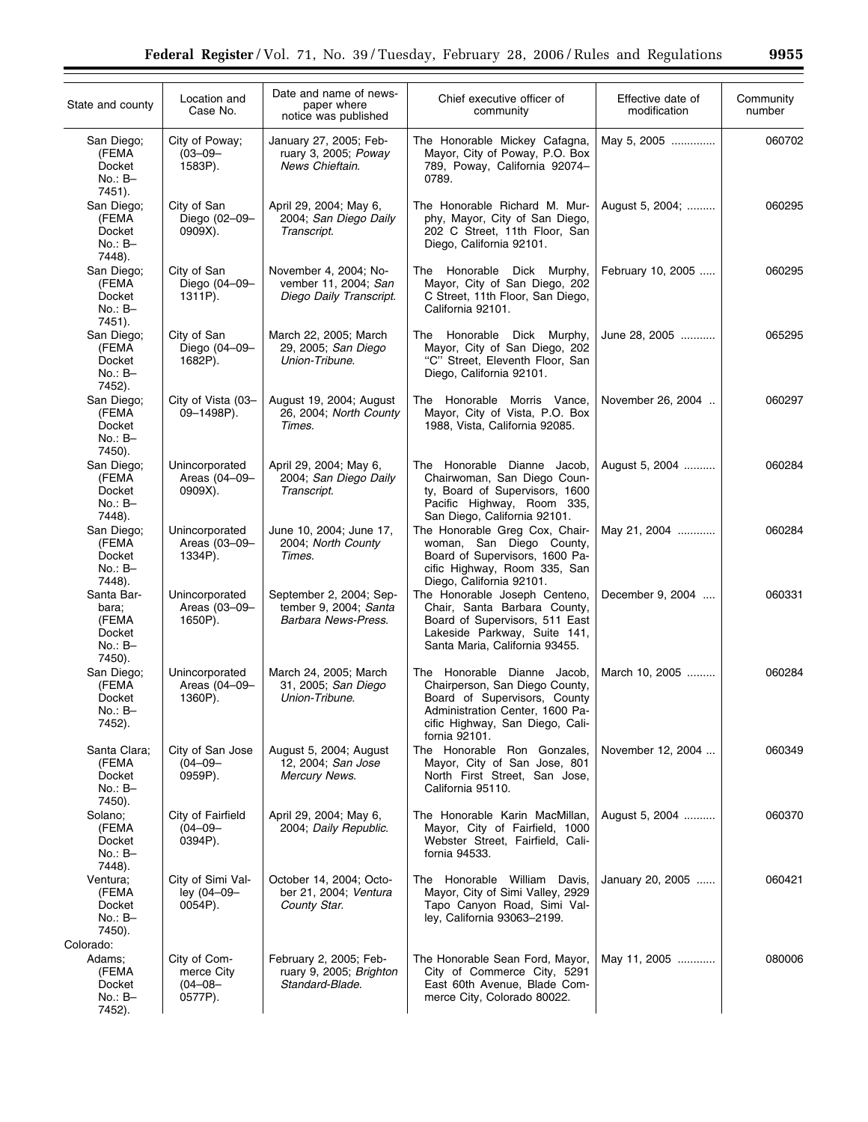| State and county                                              | Location and<br>Case No.                         | Date and name of news-<br>paper where<br>notice was published            | Chief executive officer of<br>community                                                                                                                                                       | Effective date of<br>modification | Community<br>number |
|---------------------------------------------------------------|--------------------------------------------------|--------------------------------------------------------------------------|-----------------------------------------------------------------------------------------------------------------------------------------------------------------------------------------------|-----------------------------------|---------------------|
| San Diego;<br>(FEMA<br>Docket<br>$No.: B-$<br>7451).          | City of Poway;<br>$(03 - 09 -$<br>1583P).        | January 27, 2005; Feb-<br>ruary 3, 2005; Poway<br>News Chieftain.        | The Honorable Mickey Cafagna,<br>Mayor, City of Poway, P.O. Box<br>789, Poway, California 92074-<br>0789.                                                                                     | May 5, 2005                       | 060702              |
| San Diego;<br>(FEMA<br>Docket<br>$No.: B-$<br>7448).          | City of San<br>Diego (02-09-<br>0909X).          | April 29, 2004; May 6,<br>2004; San Diego Daily<br>Transcript.           | The Honorable Richard M. Mur-<br>phy, Mayor, City of San Diego,<br>202 C Street, 11th Floor, San<br>Diego, California 92101.                                                                  | August 5, 2004;                   | 060295              |
| San Diego;<br>(FEMA<br>Docket<br>$No.: B-$<br>7451).          | City of San<br>Diego (04-09-<br>1311P).          | November 4, 2004; No-<br>vember 11, 2004; San<br>Diego Daily Transcript. | The Honorable Dick Murphy,<br>Mayor, City of San Diego, 202<br>C Street, 11th Floor, San Diego,<br>California 92101.                                                                          | February 10, 2005                 | 060295              |
| San Diego;<br>(FEMA<br>Docket<br>$No.: B-$<br>7452).          | City of San<br>Diego (04-09-<br>1682P).          | March 22, 2005; March<br>29, 2005; San Diego<br>Union-Tribune.           | The Honorable Dick Murphy,<br>Mayor, City of San Diego, 202<br>"C" Street, Eleventh Floor, San<br>Diego, California 92101.                                                                    | June 28, 2005                     | 065295              |
| San Diego;<br>(FEMA<br>Docket<br>$No.: B-$<br>7450).          | City of Vista (03-<br>09-1498P).                 | August 19, 2004; August<br>26, 2004; North County<br>Times.              | The Honorable Morris Vance,<br>Mayor, City of Vista, P.O. Box<br>1988, Vista, California 92085.                                                                                               | November 26, 2004                 | 060297              |
| San Diego;<br>(FEMA<br>Docket<br>$No.: B-$<br>7448).          | Unincorporated<br>Areas (04-09-<br>0909X).       | April 29, 2004; May 6,<br>2004; San Diego Daily<br>Transcript.           | The Honorable Dianne Jacob,<br>Chairwoman, San Diego Coun-<br>ty, Board of Supervisors, 1600<br>Pacific Highway, Room 335,<br>San Diego, California 92101.                                    | August 5, 2004                    | 060284              |
| San Diego;<br>(FEMA<br>Docket<br>$No.: B-$<br>7448).          | Unincorporated<br>Areas (03-09-<br>1334P).       | June 10, 2004; June 17,<br>2004; North County<br>Times.                  | The Honorable Greg Cox, Chair-<br>woman, San Diego County,<br>Board of Supervisors, 1600 Pa-<br>cific Highway, Room 335, San                                                                  | May 21, 2004                      | 060284              |
| Santa Bar-<br>bara:<br>(FEMA<br>Docket<br>$No.: B-$<br>7450). | Unincorporated<br>Areas (03-09-<br>1650P).       | September 2, 2004; Sep-<br>tember 9, 2004; Santa<br>Barbara News-Press.  | Diego, California 92101.<br>The Honorable Joseph Centeno,<br>Chair, Santa Barbara County,<br>Board of Supervisors, 511 East<br>Lakeside Parkway, Suite 141,<br>Santa Maria, California 93455. | December 9, 2004                  | 060331              |
| San Diego;<br>(FEMA<br>Docket<br>No.: B-<br>7452).            | Unincorporated<br>Areas (04-09-<br>1360P).       | March 24, 2005; March<br>31, 2005; San Diego<br>Union-Tribune.           | The Honorable Dianne Jacob,<br>Chairperson, San Diego County,<br>Board of Supervisors, County<br>Administration Center, 1600 Pa-<br>cific Highway, San Diego, Cali-<br>fornia 92101.          | March 10, 2005                    | 060284              |
| Santa Clara;<br>(FEMA<br>Docket<br>$No.: B-$<br>7450).        | City of San Jose<br>$(04 - 09 -$<br>0959P).      | August 5, 2004; August<br>12, 2004; San Jose<br><b>Mercury News.</b>     | The Honorable Ron Gonzales,<br>Mayor, City of San Jose, 801<br>North First Street, San Jose,<br>California 95110.                                                                             | November 12, 2004                 | 060349              |
| Solano;<br>(FEMA<br>Docket<br>$No.: B-$<br>7448).             | City of Fairfield<br>$(04 - 09 -$<br>0394P).     | April 29, 2004; May 6,<br>2004; Daily Republic.                          | The Honorable Karin MacMillan,<br>Mayor, City of Fairfield, 1000<br>Webster Street, Fairfield, Cali-<br>fornia 94533.                                                                         | August 5, 2004                    | 060370              |
| Ventura;<br>(FEMA<br>Docket<br>No.: B-<br>7450).<br>Colorado: | City of Simi Val-<br>ley (04-09-<br>0054P).      | October 14, 2004; Octo-<br>ber 21, 2004; Ventura<br>County Star.         | The Honorable William Davis,<br>Mayor, City of Simi Valley, 2929<br>Tapo Canyon Road, Simi Val-<br>ley, California 93063-2199.                                                                | January 20, 2005                  | 060421              |
| Adams:<br>(FEMA<br>Docket<br>No.: B-<br>7452).                | City of Com-<br>merce City<br>(04–08–<br>0577P). | February 2, 2005; Feb-<br>ruary 9, 2005; Brighton<br>Standard-Blade.     | The Honorable Sean Ford, Mayor,<br>City of Commerce City, 5291<br>East 60th Avenue, Blade Com-<br>merce City, Colorado 80022.                                                                 | May 11, 2005                      | 080006              |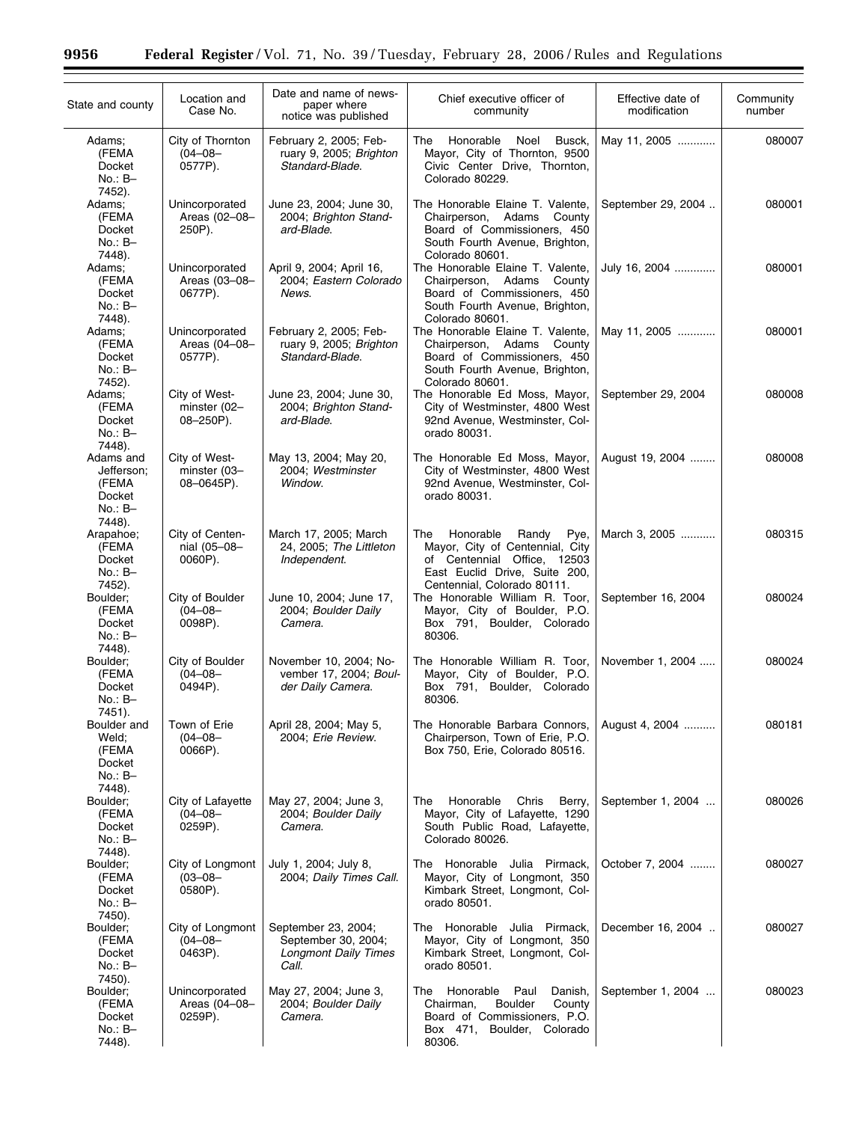÷.

| State and county                                             | Location and<br>Case No.                        | Date and name of news-<br>paper where<br>notice was published                      | Chief executive officer of<br>community                                                                                                              | Effective date of<br>modification | Community<br>number |
|--------------------------------------------------------------|-------------------------------------------------|------------------------------------------------------------------------------------|------------------------------------------------------------------------------------------------------------------------------------------------------|-----------------------------------|---------------------|
| Adams:<br>(FEMA<br>Docket<br>$No.: B-$                       | City of Thornton<br>$(04 - 08 -$<br>0577P).     | February 2, 2005; Feb-<br>ruary 9, 2005; Brighton<br>Standard-Blade.               | Honorable<br>Noel<br>Busck,<br>The<br>Mayor, City of Thornton, 9500<br>Civic Center Drive, Thornton,<br>Colorado 80229.                              | May 11, 2005                      | 080007              |
| 7452).<br>Adams;<br>(FEMA<br>Docket<br>$No.: B-$<br>7448).   | Unincorporated<br>Areas (02-08-<br>250P).       | June 23, 2004; June 30,<br>2004; Brighton Stand-<br>ard-Blade.                     | The Honorable Elaine T. Valente,<br>Chairperson, Adams County<br>Board of Commissioners, 450<br>South Fourth Avenue, Brighton,<br>Colorado 80601.    | September 29, 2004                | 080001              |
| Adams:<br>(FEMA<br>Docket<br>$No.: B-$<br>7448).             | Unincorporated<br>Areas (03-08-<br>0677P).      | April 9, 2004; April 16,<br>2004; Eastern Colorado<br>News.                        | The Honorable Elaine T. Valente,<br>Chairperson, Adams County<br>Board of Commissioners, 450<br>South Fourth Avenue, Brighton,<br>Colorado 80601.    | July 16, 2004                     | 080001              |
| Adams:<br>(FEMA<br><b>Docket</b><br>$No.: B-$<br>7452).      | Unincorporated<br>Areas (04-08-<br>0577P).      | February 2, 2005; Feb-<br>ruary 9, 2005; Brighton<br>Standard-Blade.               | The Honorable Elaine T. Valente,<br>Chairperson, Adams County<br>Board of Commissioners, 450<br>South Fourth Avenue, Brighton,<br>Colorado 80601.    | May 11, 2005                      | 080001              |
| Adams:<br>(FEMA<br>Docket<br>$No.: B-$<br>7448).             | City of West-<br>minster (02-<br>$08 - 250P$ ). | June 23, 2004; June 30,<br>2004; Brighton Stand-<br>ard-Blade.                     | The Honorable Ed Moss, Mayor,<br>City of Westminster, 4800 West<br>92nd Avenue, Westminster, Col-<br>orado 80031.                                    | September 29, 2004                | 080008              |
| Adams and<br>Jefferson;<br>(FEMA<br>Docket<br>$No.: B-$      | City of West-<br>minster (03-<br>08-0645P).     | May 13, 2004; May 20,<br>2004; Westminster<br>Window.                              | The Honorable Ed Moss, Mayor,<br>City of Westminster, 4800 West<br>92nd Avenue, Westminster, Col-<br>orado 80031.                                    | August 19, 2004                   | 080008              |
| 7448).<br>Arapahoe;<br>(FEMA<br>Docket<br>$No.: B-$          | City of Centen-<br>nial (05-08-<br>0060P).      | March 17, 2005; March<br>24, 2005; The Littleton<br>Independent.                   | The<br>Honorable<br>Randy<br>Pye,<br>Mayor, City of Centennial, City<br>of Centennial Office, 12503<br>East Euclid Drive, Suite 200,                 | March 3, 2005                     | 080315              |
| 7452).<br>Boulder:<br>(FEMA<br>Docket<br>$No.: B-$<br>7448). | City of Boulder<br>$(04 - 08 -$<br>0098P).      | June 10, 2004; June 17,<br>2004; Boulder Daily<br>Camera.                          | Centennial, Colorado 80111.<br>The Honorable William R. Toor,<br>Mayor, City of Boulder, P.O.<br>Box 791, Boulder, Colorado<br>80306.                | September 16, 2004                | 080024              |
| Boulder;<br>(FEMA<br>Docket<br>$No.: B-$<br>7451).           | City of Boulder<br>$(04 - 08 -$<br>0494P).      | November 10, 2004; No-<br>vember 17, 2004; Boul-<br>der Daily Camera.              | The Honorable William R. Toor,<br>Mayor, City of Boulder, P.O.<br>Box 791, Boulder, Colorado<br>80306.                                               | November 1, 2004                  | 080024              |
| Boulder and<br>Weld;<br>(FEMA<br>Docket<br>$No.: B-$         | Town of Erie<br>$(04 - 08 -$<br>0066P).         | April 28, 2004; May 5,<br>2004; Erie Review.                                       | The Honorable Barbara Connors,<br>Chairperson, Town of Erie, P.O.<br>Box 750, Erie, Colorado 80516.                                                  | August 4, 2004                    | 080181              |
| 7448).<br>Boulder;<br>(FEMA<br>Docket<br>$No.: B-$<br>7448). | City of Lafayette<br>$(04 - 08 -$<br>0259P).    | May 27, 2004; June 3,<br>2004; Boulder Daily<br>Camera.                            | Honorable<br>Chris<br>Berry,<br>The<br>Mayor, City of Lafayette, 1290<br>South Public Road, Lafayette,<br>Colorado 80026.                            | September 1, 2004                 | 080026              |
| Boulder;<br>(FEMA<br>Docket<br>$No.: B-$                     | City of Longmont<br>$(03 - 08 -$<br>0580P).     | July 1, 2004; July 8,<br>2004; Daily Times Call.                                   | The Honorable Julia Pirmack,<br>Mayor, City of Longmont, 350<br>Kimbark Street, Longmont, Col-<br>orado 80501.                                       | October 7, 2004                   | 080027              |
| 7450).<br>Boulder;<br>(FEMA<br>Docket<br>No.: B-<br>7450).   | City of Longmont<br>$(04 - 08 -$<br>0463P).     | September 23, 2004;<br>September 30, 2004;<br><b>Longmont Daily Times</b><br>Call. | The Honorable Julia Pirmack,<br>Mayor, City of Longmont, 350<br>Kimbark Street, Longmont, Col-<br>orado 80501.                                       | December 16, 2004                 | 080027              |
| Boulder;<br>(FEMA<br>Docket<br>$No.: B-$<br>7448).           | Unincorporated<br>Areas (04-08-<br>0259P).      | May 27, 2004; June 3,<br>2004; Boulder Daily<br>Camera.                            | Honorable<br>Paul<br>Danish,<br>The<br>Chairman,<br><b>Boulder</b><br>County<br>Board of Commissioners, P.O.<br>Box 471, Boulder, Colorado<br>80306. | September 1, 2004                 | 080023              |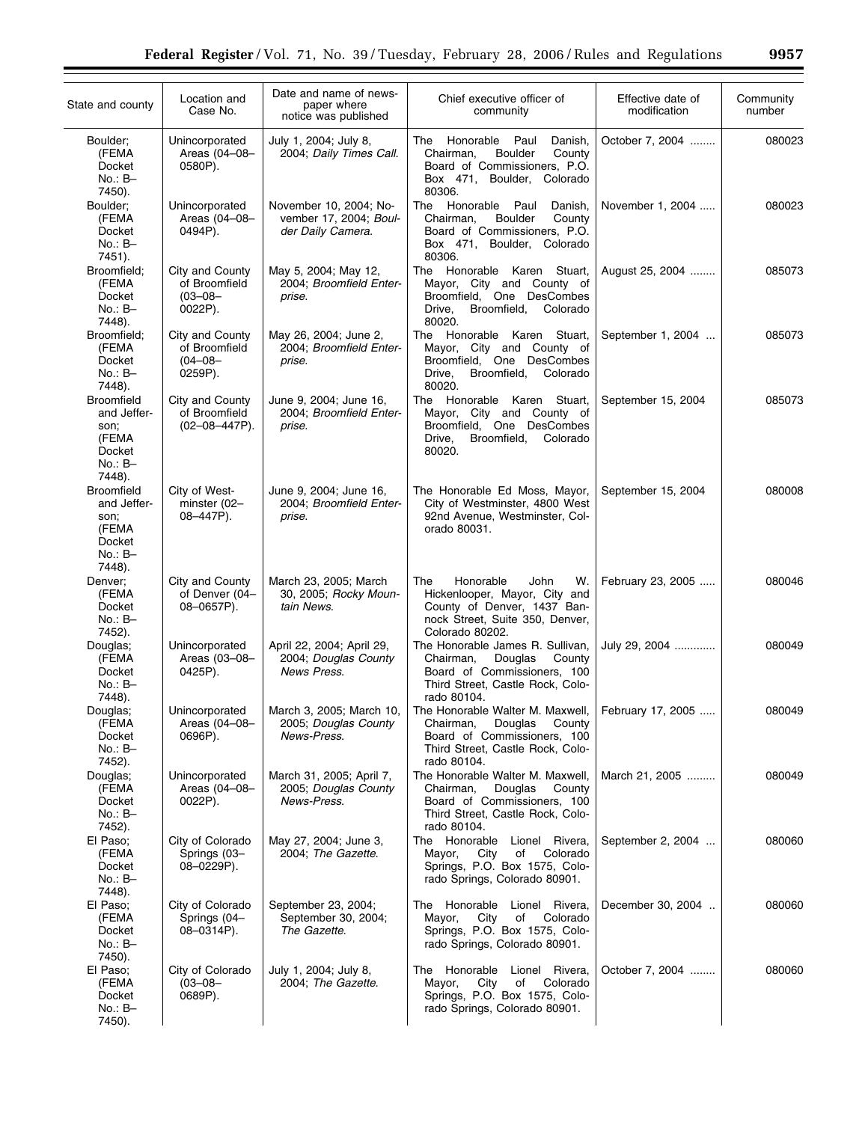| State and county                                                                   | Location and<br>Case No.                                    | Date and name of news-<br>paper where<br>notice was published         | Chief executive officer of<br>community                                                                                                                                  | Effective date of<br>modification | Community<br>number |
|------------------------------------------------------------------------------------|-------------------------------------------------------------|-----------------------------------------------------------------------|--------------------------------------------------------------------------------------------------------------------------------------------------------------------------|-----------------------------------|---------------------|
| Boulder;<br>(FEMA<br>Docket<br>$No.: B-$<br>7450).                                 | Unincorporated<br>Areas (04-08-<br>0580P).                  | July 1, 2004; July 8,<br>2004; Daily Times Call.                      | The<br>Honorable<br>Paul<br>Danish,<br><b>Boulder</b><br>Chairman,<br>County<br>Board of Commissioners, P.O.<br>Box 471, Boulder,<br>Colorado<br>80306.                  | October 7, 2004                   | 080023              |
| Boulder;<br>(FEMA<br>Docket<br>$No.: B-$<br>7451).                                 | Unincorporated<br>Areas (04-08-<br>0494P).                  | November 10, 2004; No-<br>vember 17, 2004; Boul-<br>der Daily Camera. | Honorable<br>The<br>Paul<br>Danish,<br><b>Boulder</b><br>County<br>Chairman,<br>Board of Commissioners, P.O.<br>Box 471, Boulder, Colorado<br>80306.                     | November 1, 2004                  | 080023              |
| Broomfield;<br>(FEMA<br>Docket<br>$No.: B-$<br>7448).                              | City and County<br>of Broomfield<br>$(03 - 08 -$<br>0022P). | May 5, 2004; May 12,<br>2004; Broomfield Enter-<br>prise.             | The Honorable Karen Stuart,<br>Mayor, City and County of<br>Broomfield, One DesCombes<br>Broomfield,<br>Colorado<br>Drive,<br>80020.                                     | August 25, 2004                   | 085073              |
| Broomfield;<br>(FEMA<br>Docket<br>$No.: B-$<br>7448).                              | City and County<br>of Broomfield<br>$(04 - 08 -$<br>0259P). | May 26, 2004; June 2,<br>2004; Broomfield Enter-<br>prise.            | Honorable Karen Stuart,<br>The<br>Mayor, City and County of<br>Broomfield, One DesCombes<br>Colorado<br>Drive,<br>Broomfield,<br>80020.                                  | September 1, 2004                 | 085073              |
| <b>Broomfield</b><br>and Jeffer-<br>son;<br>(FEMA<br>Docket<br>$No.: B-$<br>7448). | City and County<br>of Broomfield<br>$(02-08-447P)$ .        | June 9, 2004; June 16,<br>2004; Broomfield Enter-<br>prise.           | The Honorable Karen Stuart,<br>Mayor, City and County of<br>Broomfield, One DesCombes<br>Drive,<br>Broomfield,<br>Colorado<br>80020.                                     | September 15, 2004                | 085073              |
| <b>Broomfield</b><br>and Jeffer-<br>son;<br>(FEMA<br>Docket<br>$No.: B-$<br>7448). | City of West-<br>minster (02-<br>08-447P).                  | June 9, 2004; June 16,<br>2004; Broomfield Enter-<br>prise.           | The Honorable Ed Moss, Mayor,<br>City of Westminster, 4800 West<br>92nd Avenue, Westminster, Col-<br>orado 80031.                                                        | September 15, 2004                | 080008              |
| Denver;<br>(FEMA<br>Docket<br>$No.: B-$<br>7452).                                  | City and County<br>of Denver (04-<br>08-0657P).             | March 23, 2005; March<br>30, 2005; Rocky Moun-<br>tain News.          | The<br>Honorable<br>John<br>W.<br>Hickenlooper, Mayor, City and<br>County of Denver, 1437 Ban-<br>nock Street, Suite 350, Denver,<br>Colorado 80202.                     | February 23, 2005                 | 080046              |
| Douglas:<br>(FEMA<br>Docket<br>No.: B-<br>7448).                                   | Unincorporated<br>Areas (03-08-<br>0425P).                  | April 22, 2004; April 29,<br>2004; Douglas County<br>News Press.      | The Honorable James R. Sullivan,<br>Chairman,<br>Douglas<br>County<br>Board of Commissioners, 100<br>Third Street, Castle Rock, Colo-<br>rado 80104.                     | July 29, 2004                     | 080049              |
| Douglas;<br>(FEMA<br>Docket<br>No.: B-<br>7452).                                   | Unincorporated<br>Areas (04-08-<br>0696P).                  | March 3, 2005; March 10,<br>2005; Douglas County<br>News-Press.       | The Honorable Walter M. Maxwell,   February 17, 2005<br>Douglas<br>County<br>Chairman,<br>Board of Commissioners, 100<br>Third Street, Castle Rock, Colo-<br>rado 80104. |                                   | 080049              |
| Douglas;<br>(FEMA<br>Docket<br>No.: B-<br>7452).                                   | Unincorporated<br>Areas (04-08-<br>0022P).                  | March 31, 2005; April 7,<br>2005; Douglas County<br>News-Press.       | The Honorable Walter M. Maxwell,<br>Chairman,<br>Douglas<br>County<br>Board of Commissioners, 100<br>Third Street, Castle Rock, Colo-<br>rado 80104.                     | March 21, 2005                    | 080049              |
| El Paso;<br>(FEMA<br><b>Docket</b><br>No.: B-<br>7448).                            | City of Colorado<br>Springs (03-<br>08-0229P).              | May 27, 2004; June 3,<br>2004; The Gazette.                           | The Honorable<br>Lionel Rivera,<br>Colorado<br>City<br>of<br>Mayor,<br>Springs, P.O. Box 1575, Colo-<br>rado Springs, Colorado 80901.                                    | September 2, 2004                 | 080060              |
| El Paso;<br>(FEMA<br>Docket<br>No.: B-<br>7450).                                   | City of Colorado<br>Springs (04-<br>08-0314P).              | September 23, 2004;<br>September 30, 2004;<br>The Gazette.            | The Honorable<br>Lionel Rivera,<br>Mayor,<br>City<br>of<br>Colorado<br>Springs, P.O. Box 1575, Colo-<br>rado Springs, Colorado 80901.                                    | December 30, 2004                 | 080060              |
| El Paso;<br>(FEMA<br>Docket<br>No.: B-<br>7450).                                   | City of Colorado<br>$(03 - 08 -$<br>0689P).                 | July 1, 2004; July 8,<br>2004; The Gazette.                           | The Honorable<br>Lionel Rivera,<br>City<br>of<br>Colorado<br>Mayor,<br>Springs, P.O. Box 1575, Colo-<br>rado Springs, Colorado 80901.                                    | October 7, 2004                   | 080060              |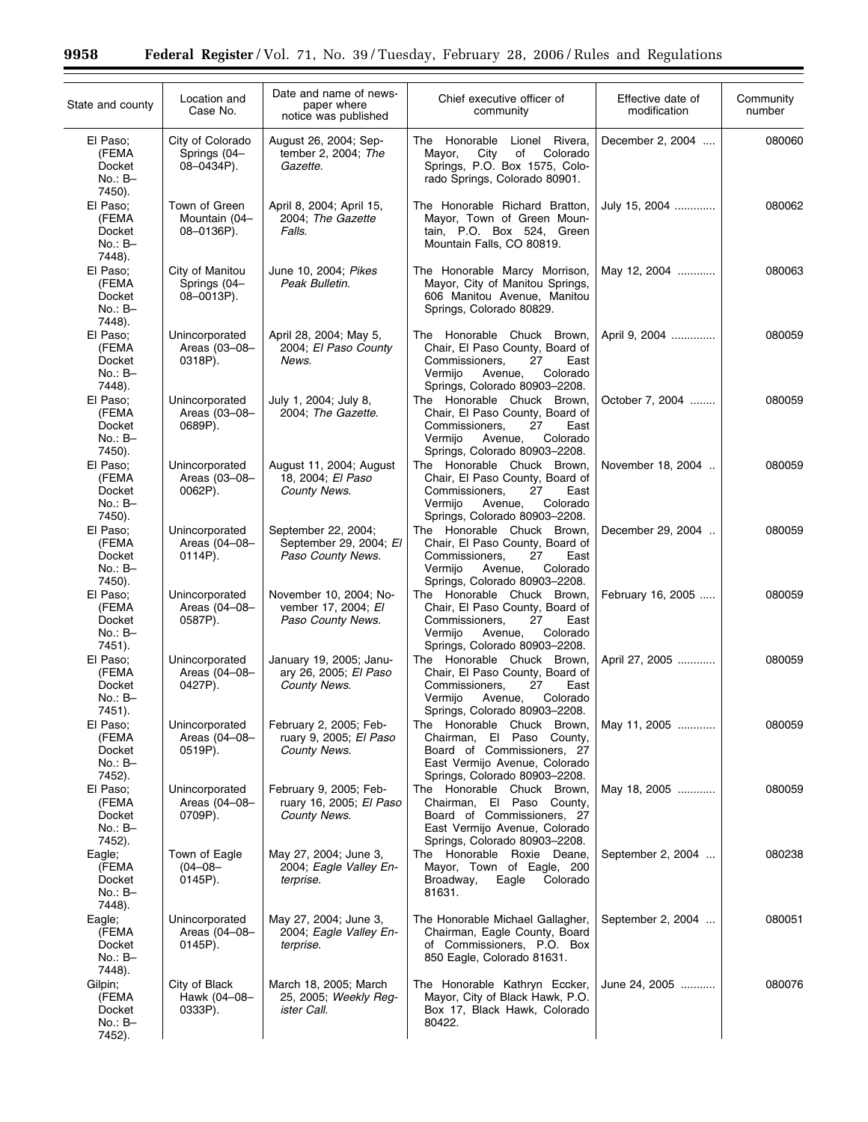÷.

| State and county                                   | Location and<br>Case No.                       | Date and name of news-<br>paper where<br>notice was published            | Chief executive officer of<br>community                                                                                                                          | Effective date of<br>modification | Community<br>number |
|----------------------------------------------------|------------------------------------------------|--------------------------------------------------------------------------|------------------------------------------------------------------------------------------------------------------------------------------------------------------|-----------------------------------|---------------------|
| El Paso;<br>(FEMA<br>Docket<br>$No.: B-$<br>7450). | City of Colorado<br>Springs (04-<br>08-0434P). | August 26, 2004; Sep-<br>tember 2, 2004; The<br>Gazette.                 | The Honorable Lionel Rivera,<br>City<br>οf<br>Colorado<br>Mayor,<br>Springs, P.O. Box 1575, Colo-<br>rado Springs, Colorado 80901.                               | December 2, 2004                  | 080060              |
| El Paso;<br>(FEMA<br>Docket<br>$No.: B-$<br>7448). | Town of Green<br>Mountain (04-<br>08-0136P).   | April 8, 2004; April 15,<br>2004; The Gazette<br>Falls.                  | The Honorable Richard Bratton,<br>Mayor, Town of Green Moun-<br>tain, P.O. Box 524, Green<br>Mountain Falls, CO 80819.                                           | July 15, 2004                     | 080062              |
| El Paso;<br>(FEMA<br>Docket<br>$No.: B-$<br>7448). | City of Manitou<br>Springs (04-<br>08-0013P).  | June 10, 2004; Pikes<br>Peak Bulletin.                                   | The Honorable Marcy Morrison,<br>Mayor, City of Manitou Springs,<br>606 Manitou Avenue, Manitou<br>Springs, Colorado 80829.                                      | May 12, 2004                      | 080063              |
| El Paso;<br>(FEMA<br>Docket<br>$No.: B-$<br>7448). | Unincorporated<br>Areas (03-08-<br>0318P).     | April 28, 2004; May 5,<br>2004; El Paso County<br>News.                  | The Honorable Chuck Brown,<br>Chair, El Paso County, Board of<br>Commissioners,<br>27<br>East<br>Vermijo<br>Colorado<br>Avenue,<br>Springs, Colorado 80903-2208. | April 9, 2004                     | 080059              |
| El Paso:<br>(FEMA<br>Docket<br>$No.: B-$<br>7450). | Unincorporated<br>Areas (03-08-<br>0689P).     | July 1, 2004; July 8,<br>2004; The Gazette.                              | The Honorable Chuck Brown,<br>Chair, El Paso County, Board of<br>Commissioners,<br>27<br>East<br>Vermijo<br>Avenue,<br>Colorado<br>Springs, Colorado 80903-2208. | October 7, 2004                   | 080059              |
| El Paso:<br>(FEMA<br>Docket<br>No.: B-<br>7450).   | Unincorporated<br>Areas (03-08-<br>0062P).     | August 11, 2004; August<br>18, 2004; El Paso<br>County News.             | The Honorable Chuck Brown.<br>Chair, El Paso County, Board of<br>Commissioners,<br>27<br>East<br>Vermijo<br>Avenue,<br>Colorado<br>Springs, Colorado 80903-2208. | November 18, 2004                 | 080059              |
| El Paso;<br>(FEMA<br>Docket<br>$No.: B-$<br>7450). | Unincorporated<br>Areas (04-08-<br>0114P).     | September 22, 2004;<br>September 29, 2004; El<br>Paso County News.       | The Honorable Chuck Brown,<br>Chair, El Paso County, Board of<br>Commissioners,<br>27<br>East<br>Vermijo<br>Colorado<br>Avenue,<br>Springs, Colorado 80903-2208. | December 29, 2004                 | 080059              |
| El Paso;<br>(FEMA<br>Docket<br>$No.: B-$<br>7451). | Unincorporated<br>Areas (04-08-<br>0587P).     | November 10, 2004; No-<br>vember 17, 2004; El<br>Paso County News.       | The Honorable Chuck Brown,<br>Chair, El Paso County, Board of<br>Commissioners,<br>27<br>East<br>Vermijo<br>Colorado<br>Avenue,<br>Springs, Colorado 80903-2208. | February 16, 2005                 | 080059              |
| El Paso;<br>(FEMA<br>Docket<br>No.: B-<br>7451).   | Unincorporated<br>Areas (04-08-<br>0427P).     | January 19, 2005; Janu-<br>ary 26, 2005; El Paso<br>County News.         | The Honorable Chuck Brown,<br>Chair, El Paso County, Board of<br>Commissioners.<br>27<br>East<br>Colorado<br>Vermijo<br>Avenue,<br>Springs, Colorado 80903-2208. | April 27, 2005                    | 080059              |
| El Paso;<br>(FEMA<br>Docket<br>No.: B-<br>7452).   | Unincorporated<br>Areas (04-08-<br>0519P).     | February 2, 2005; Feb-<br>ruary 9, 2005; El Paso<br>County News.         | The Honorable Chuck Brown,<br>Chairman, El Paso County,<br>Board of Commissioners, 27<br>East Vermijo Avenue, Colorado<br>Springs, Colorado 80903-2208.          | May 11, 2005                      | 080059              |
| El Paso;<br>(FEMA<br>Docket<br>No.: B-<br>7452).   | Unincorporated<br>Areas (04-08-<br>0709P).     | February 9, 2005; Feb-<br>ruary 16, 2005; El Paso<br><b>County News.</b> | The Honorable Chuck Brown,<br>Chairman, El Paso County,<br>Board of Commissioners, 27<br>East Vermijo Avenue, Colorado<br>Springs, Colorado 80903-2208.          | May 18, 2005                      | 080059              |
| Eagle;<br>(FEMA<br>Docket<br>No.: B-<br>7448).     | Town of Eagle<br>$(04 - 08 -$<br>0145P).       | May 27, 2004; June 3,<br>2004; Eagle Valley En-<br>terprise.             | The Honorable Roxie Deane,<br>Mayor, Town of Eagle, 200<br>Broadway,<br>Eagle<br>Colorado<br>81631.                                                              | September 2, 2004                 | 080238              |
| Eagle;<br>(FEMA<br>Docket<br>No.: B-<br>7448).     | Unincorporated<br>Areas (04-08-<br>0145P).     | May 27, 2004; June 3,<br>2004; Eagle Valley En-<br>terprise.             | The Honorable Michael Gallagher,<br>Chairman, Eagle County, Board<br>of Commissioners, P.O. Box<br>850 Eagle, Colorado 81631.                                    | September 2, 2004                 | 080051              |
| Gilpin;<br>(FEMA<br>Docket<br>No.: B-<br>7452).    | City of Black<br>Hawk (04-08-<br>0333P).       | March 18, 2005; March<br>25, 2005; Weekly Reg-<br>ister Call.            | The Honorable Kathryn Eccker,<br>Mayor, City of Black Hawk, P.O.<br>Box 17, Black Hawk, Colorado<br>80422.                                                       | June 24, 2005                     | 080076              |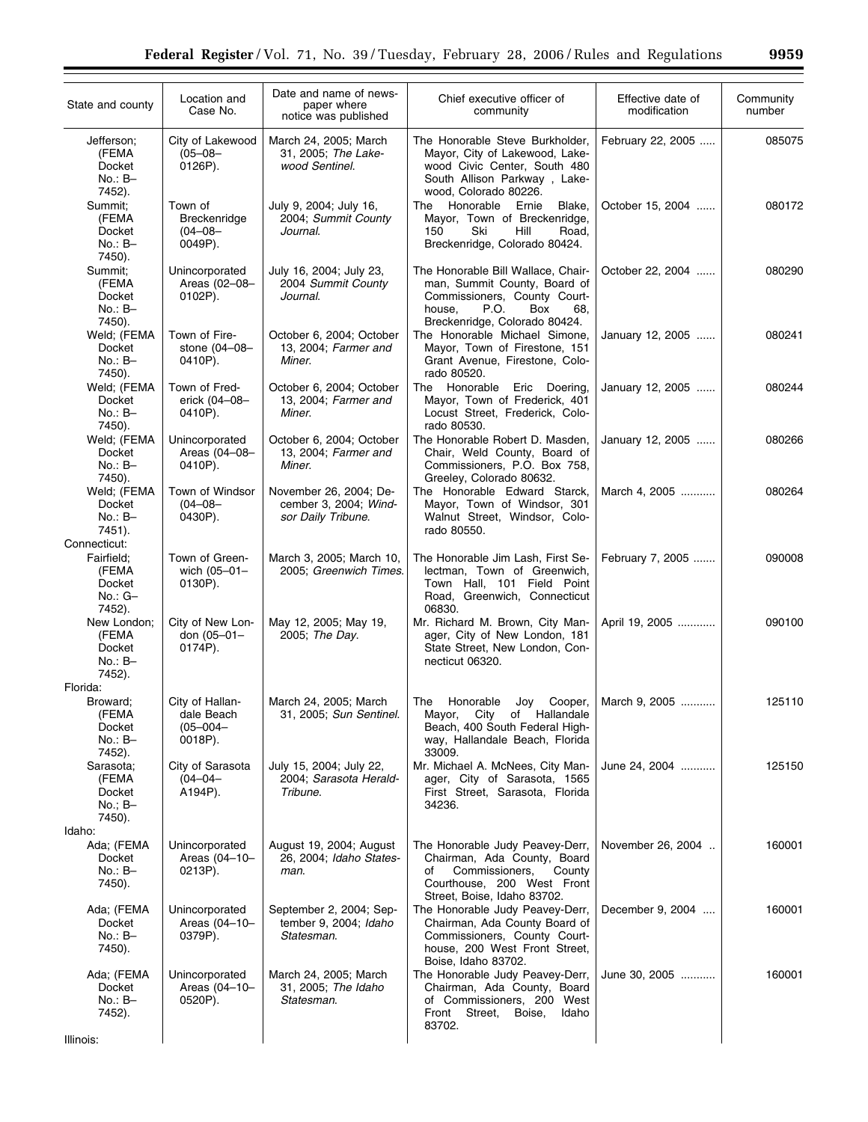| State and county                                                     | Location and<br>Case No.                                  | Date and name of news-<br>paper where<br>notice was published         | Chief executive officer of<br>community                                                                                                                             | Effective date of<br>modification | Community<br>number |
|----------------------------------------------------------------------|-----------------------------------------------------------|-----------------------------------------------------------------------|---------------------------------------------------------------------------------------------------------------------------------------------------------------------|-----------------------------------|---------------------|
| Jefferson;<br>(FEMA<br>Docket<br>No.: B-<br>7452).                   | City of Lakewood<br>$(05 - 08 -$<br>0126P).               | March 24, 2005; March<br>31, 2005; The Lake-<br>wood Sentinel.        | The Honorable Steve Burkholder,<br>Mayor, City of Lakewood, Lake-<br>wood Civic Center, South 480<br>South Allison Parkway, Lake-<br>wood, Colorado 80226.          | February 22, 2005                 | 085075              |
| Summit;<br>(FEMA<br>Docket<br>$No.: B-$<br>7450).                    | Town of<br>Breckenridge<br>$(04 - 08 -$<br>0049P).        | July 9, 2004; July 16,<br>2004; Summit County<br>Journal.             | Honorable<br>Ernie<br>The<br>Blake,<br>Mayor, Town of Breckenridge,<br>Ski<br>150<br>Hill<br>Road,<br>Breckenridge, Colorado 80424.                                 | October 15, 2004                  | 080172              |
| Summit:<br>(FEMA<br>Docket<br>No.: B-<br>7450).                      | Unincorporated<br>Areas (02-08-<br>$0102P$ ).             | July 16, 2004; July 23,<br>2004 Summit County<br>Journal.             | The Honorable Bill Wallace, Chair-<br>man, Summit County, Board of<br>Commissioners, County Court-<br>house,<br>P.O.<br>Box<br>68,<br>Breckenridge, Colorado 80424. | October 22, 2004                  | 080290              |
| Weld; (FEMA<br>Docket<br>$No.: B-$<br>7450).                         | Town of Fire-<br>stone (04-08-<br>0410P).                 | October 6, 2004; October<br>13, 2004; Farmer and<br>Miner.            | The Honorable Michael Simone,<br>Mayor, Town of Firestone, 151<br>Grant Avenue, Firestone, Colo-<br>rado 80520.                                                     | January 12, 2005                  | 080241              |
| Weld; (FEMA<br>Docket<br>No.: B-<br>7450).                           | Town of Fred-<br>erick (04-08-<br>0410P).                 | October 6, 2004; October<br>13, 2004; Farmer and<br>Miner.            | Honorable<br>The<br>Eric Doering,<br>Mayor, Town of Frederick, 401<br>Locust Street, Frederick, Colo-<br>rado 80530.                                                | January 12, 2005                  | 080244              |
| Weld; (FEMA<br>Docket<br>$No.: B-$<br>7450).                         | Unincorporated<br>Areas (04-08-<br>0410P).                | October 6, 2004; October<br>13, 2004; Farmer and<br>Miner.            | The Honorable Robert D. Masden,<br>Chair, Weld County, Board of<br>Commissioners, P.O. Box 758,<br>Greeley, Colorado 80632.                                         | January 12, 2005                  | 080266              |
| Weld; (FEMA<br>Docket<br>$No.: B-$<br>7451).                         | Town of Windsor<br>$(04 - 08 -$<br>0430P).                | November 26, 2004; De-<br>cember 3, 2004; Wind-<br>sor Daily Tribune. | The Honorable Edward Starck,<br>Mayor, Town of Windsor, 301<br>Walnut Street, Windsor, Colo-<br>rado 80550.                                                         | March 4, 2005                     | 080264              |
| Connecticut:<br>Fairfield;<br>(FEMA<br>Docket<br>$No.: G-$<br>7452). | Town of Green-<br>wich $(05 - 01 -$<br>0130P).            | March 3, 2005; March 10,<br>2005; Greenwich Times.                    | The Honorable Jim Lash, First Se-<br>lectman, Town of Greenwich,<br>Town Hall, 101 Field Point<br>Road, Greenwich, Connecticut<br>06830.                            | February 7, 2005                  | 090008              |
| New London;<br>(FEMA<br>Docket<br>$No.: B-$<br>7452).                | City of New Lon-<br>don (05-01-<br>0174P).                | May 12, 2005; May 19,<br>2005; The Day.                               | Mr. Richard M. Brown, City Man-<br>ager, City of New London, 181<br>State Street, New London, Con-<br>necticut 06320.                                               | April 19, 2005                    | 090100              |
| Florida:<br>Broward:<br>(FEMA<br>Docket<br>No.: B-                   | City of Hallan-<br>dale Beach<br>$(05 - 004 -$<br>0018P). | March 24, 2005; March<br>31, 2005; Sun Sentinel.                      | Joy Cooper,<br>Honorable<br>The<br>Mayor, City of Hallandale<br>Beach, 400 South Federal High-<br>way, Hallandale Beach, Florida                                    | March 9, 2005                     | 125110              |
| 7452).<br>Sarasota;<br>(FEMA<br>Docket<br>$No.; B-$<br>7450).        | City of Sarasota<br>$(04 - 04 -$<br>A194P).               | July 15, 2004; July 22,<br>2004; Sarasota Herald-<br>Tribune.         | 33009.<br>Mr. Michael A. McNees, City Man-<br>ager, City of Sarasota, 1565<br>First Street, Sarasota, Florida<br>34236.                                             | June 24, 2004                     | 125150              |
| Idaho:<br>Ada; (FEMA<br>Docket<br>No.: B-<br>7450).                  | Unincorporated<br>Areas (04-10-<br>0213P).                | August 19, 2004; August<br>26, 2004; Idaho States-<br>man.            | The Honorable Judy Peavey-Derr,<br>Chairman, Ada County, Board<br>Commissioners,<br>County<br>οf<br>Courthouse, 200 West Front<br>Street, Boise, Idaho 83702.       | November 26, 2004                 | 160001              |
| Ada; (FEMA<br>Docket<br>No.: B-<br>7450).                            | Unincorporated<br>Areas (04-10-<br>0379P).                | September 2, 2004; Sep-<br>tember 9, 2004; Idaho<br>Statesman.        | The Honorable Judy Peavey-Derr,<br>Chairman, Ada County Board of<br>Commissioners, County Court-<br>house, 200 West Front Street,<br>Boise, Idaho 83702.            | December 9, 2004                  | 160001              |
| Ada; (FEMA<br>Docket<br>No.: B-<br>7452).                            | Unincorporated<br>Areas (04-10-<br>0520P).                | March 24, 2005; March<br>31, 2005; The Idaho<br>Statesman.            | The Honorable Judy Peavey-Derr,<br>Chairman, Ada County, Board<br>of Commissioners, 200 West<br>Front Street, Boise,<br>Idaho<br>83702.                             | June 30, 2005                     | 160001              |
| Illinois:                                                            |                                                           |                                                                       |                                                                                                                                                                     |                                   |                     |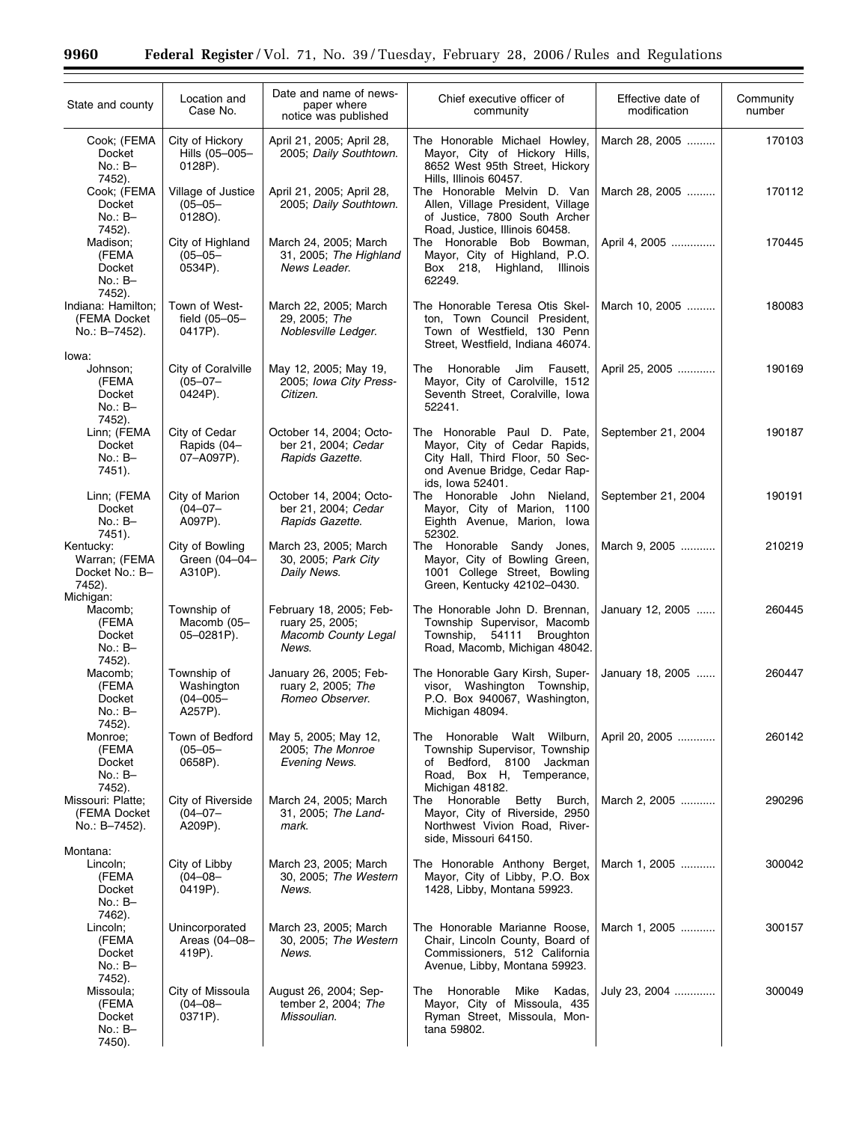۲

| State and county                                               | Location and<br>Case No.                              | Date and name of news-<br>paper where<br>notice was published                     | Chief executive officer of<br>community                                                                                                             | Effective date of<br>modification | Community<br>number |
|----------------------------------------------------------------|-------------------------------------------------------|-----------------------------------------------------------------------------------|-----------------------------------------------------------------------------------------------------------------------------------------------------|-----------------------------------|---------------------|
| Cook; (FEMA<br>Docket<br>$No.: B-$<br>7452).                   | City of Hickory<br>Hills (05-005-<br>0128P).          | April 21, 2005; April 28,<br>2005; Daily Southtown.                               | The Honorable Michael Howley,<br>Mayor, City of Hickory Hills,<br>8652 West 95th Street, Hickory<br>Hills, Illinois 60457.                          | March 28, 2005                    | 170103              |
| Cook; (FEMA<br>Docket<br>$No.: B-$                             | Village of Justice<br>$(05 - 05 -$<br>0128O).         | April 21, 2005; April 28,<br>2005; Daily Southtown.                               | The Honorable Melvin D. Van<br>Allen, Village President, Village<br>of Justice, 7800 South Archer                                                   | March 28, 2005                    | 170112              |
| 7452).<br>Madison;<br>(FEMA<br>Docket<br>$No.: B-$<br>7452).   | City of Highland<br>$(05 - 05 -$<br>0534P).           | March 24, 2005; March<br>31, 2005; The Highland<br>News Leader.                   | Road, Justice, Illinois 60458.<br>The Honorable Bob Bowman,<br>Mayor, City of Highland, P.O.<br>Box 218, Highland,<br>Illinois<br>62249.            | April 4, 2005                     | 170445              |
| Indiana: Hamilton;<br>(FEMA Docket<br>No.: B-7452).            | Town of West-<br>field (05-05-<br>0417P).             | March 22, 2005; March<br>29, 2005; The<br>Noblesville Ledger.                     | The Honorable Teresa Otis Skel-<br>ton, Town Council President,<br>Town of Westfield, 130 Penn<br>Street, Westfield, Indiana 46074.                 | March 10, 2005                    | 180083              |
| lowa:<br>Johnson;<br>(FEMA<br>Docket<br>$No.: B-$<br>7452).    | City of Coralville<br>$(05 - 07 -$<br>0424P).         | May 12, 2005; May 19,<br>2005; Iowa City Press-<br>Citizen.                       | Fausett,<br>Honorable<br>Jim<br>The<br>Mayor, City of Carolville, 1512<br>Seventh Street, Coralville, Iowa<br>52241.                                | April 25, 2005                    | 190169              |
| Linn; (FEMA<br>Docket<br>$No.: B-$<br>7451).                   | City of Cedar<br>Rapids (04-<br>07-A097P).            | October 14, 2004; Octo-<br>ber 21, 2004; Cedar<br>Rapids Gazette.                 | The Honorable Paul D. Pate,<br>Mayor, City of Cedar Rapids,<br>City Hall, Third Floor, 50 Sec-<br>ond Avenue Bridge, Cedar Rap-<br>ids, Iowa 52401. | September 21, 2004                | 190187              |
| Linn; (FEMA<br>Docket<br>$No.: B-$<br>7451).                   | City of Marion<br>$(04 - 07 -$<br>A097P).             | October 14, 2004; Octo-<br>ber 21, 2004; Cedar<br>Rapids Gazette.                 | The Honorable John Nieland,<br>Mayor, City of Marion, 1100<br>Eighth Avenue, Marion, Iowa<br>52302.                                                 | September 21, 2004                | 190191              |
| Kentucky:<br>Warran; (FEMA<br>Docket No.: B-<br>7452).         | City of Bowling<br>Green (04-04-<br>A310P).           | March 23, 2005; March<br>30, 2005; Park City<br>Daily News.                       | The Honorable Sandy Jones,<br>Mayor, City of Bowling Green,<br>1001 College Street, Bowling<br>Green, Kentucky 42102-0430.                          | March 9, 2005                     | 210219              |
| Michigan:<br>Macomb;<br>(FEMA<br>Docket<br>$No.: B-$<br>7452). | Township of<br>Macomb (05-<br>05-0281P).              | February 18, 2005; Feb-<br>ruary 25, 2005;<br><b>Macomb County Legal</b><br>News. | The Honorable John D. Brennan,<br>Township Supervisor, Macomb<br>Township,<br>54111<br><b>Broughton</b><br>Road, Macomb, Michigan 48042.            | January 12, 2005                  | 260445              |
| Macomb;<br>(FEMA<br>Docket<br>No.: B-                          | Township of<br>Washington<br>$(04 - 005 -$<br>A257P). | January 26, 2005; Feb-<br>ruary 2, 2005; The<br>Romeo Observer.                   | The Honorable Gary Kirsh, Super-<br>visor, Washington Township,<br>P.O. Box 940067, Washington,<br>Michigan 48094.                                  | January 18, 2005                  | 260447              |
| 7452).<br>Monroe;<br>(FEMA<br>Docket<br>No.: B-                | Town of Bedford<br>$(05 - 05 -$<br>0658P).            | May 5, 2005; May 12,<br>2005; The Monroe<br>Evening News.                         | Honorable Walt Wilburn,<br>The<br>Township Supervisor, Township<br>of Bedford, 8100<br>Jackman<br>Road, Box H, Temperance,                          | April 20, 2005                    | 260142              |
| 7452).<br>Missouri: Platte;<br>(FEMA Docket<br>No.: B-7452).   | City of Riverside<br>$(04 - 07 -$<br>A209P).          | March 24, 2005; March<br>31, 2005; The Land-<br>mark.                             | Michigan 48182.<br>Honorable Betty Burch,<br>The<br>Mayor, City of Riverside, 2950<br>Northwest Vivion Road, River-<br>side, Missouri 64150.        | March 2, 2005                     | 290296              |
| Montana:<br>Lincoln;<br>(FEMA<br>Docket<br>No.: B-             | City of Libby<br>$(04 - 08 -$<br>0419P).              | March 23, 2005; March<br>30, 2005; The Western<br>News.                           | The Honorable Anthony Berget,<br>Mayor, City of Libby, P.O. Box<br>1428, Libby, Montana 59923.                                                      | March 1, 2005                     | 300042              |
| 7462).<br>Lincoln;<br>(FEMA<br>Docket<br>No.: B-               | Unincorporated<br>Areas (04-08-<br>419P).             | March 23, 2005; March<br>30, 2005; The Western<br>News.                           | The Honorable Marianne Roose,<br>Chair, Lincoln County, Board of<br>Commissioners, 512 California<br>Avenue, Libby, Montana 59923.                  | March 1, 2005                     | 300157              |
| 7452).<br>Missoula;<br>(FEMA<br>Docket<br>No.: B-<br>7450).    | City of Missoula<br>$(04 - 08 -$<br>0371P).           | August 26, 2004; Sep-<br>tember 2, 2004; The<br>Missoulian.                       | Honorable<br>Mike<br>Kadas,<br>The<br>Mayor, City of Missoula, 435<br>Ryman Street, Missoula, Mon-<br>tana 59802.                                   | July 23, 2004                     | 300049              |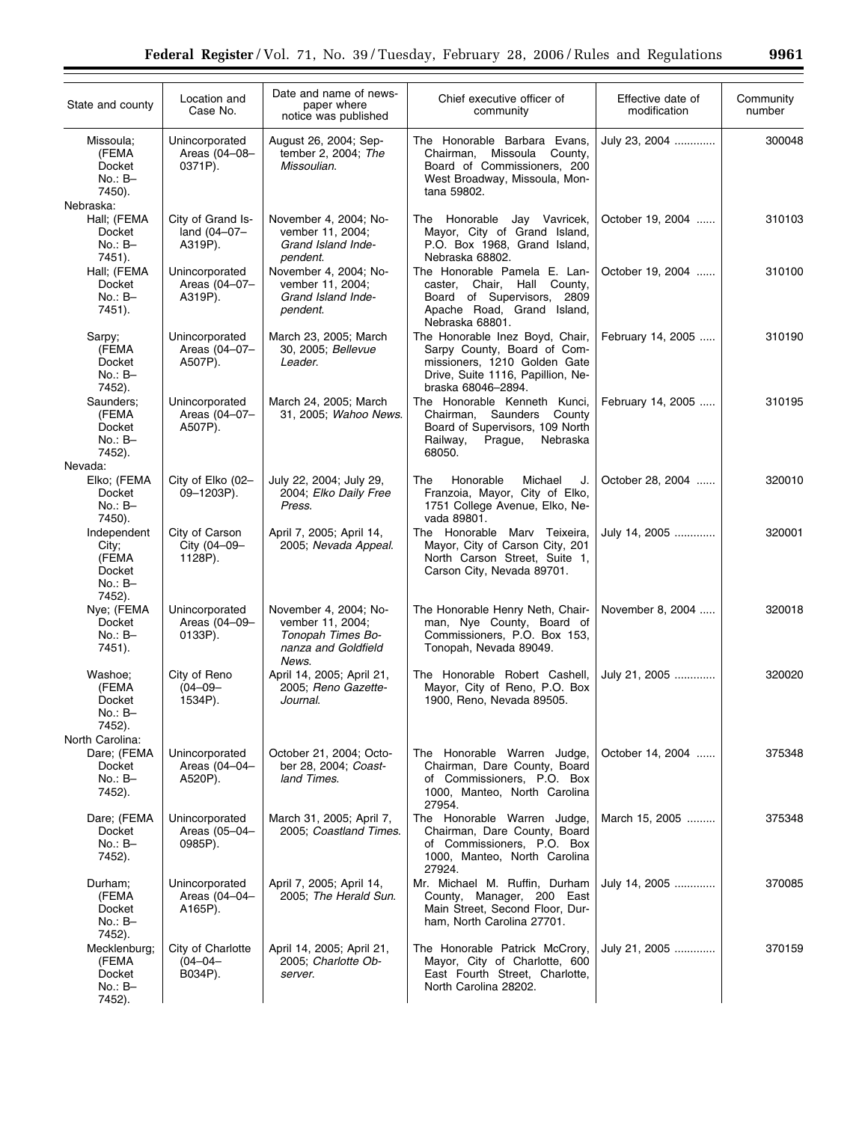| State and county                                                   | Location and<br>Case No.                     | Date and name of news-<br>paper where<br>notice was published                                  | Chief executive officer of<br>community                                                                                                                   | Effective date of<br>modification | Community<br>number |
|--------------------------------------------------------------------|----------------------------------------------|------------------------------------------------------------------------------------------------|-----------------------------------------------------------------------------------------------------------------------------------------------------------|-----------------------------------|---------------------|
| Missoula;<br>(FEMA<br>Docket<br>$No.: B-$<br>7450).<br>Nebraska:   | Unincorporated<br>Areas (04-08-<br>0371P).   | August 26, 2004; Sep-<br>tember 2, 2004; The<br>Missoulian.                                    | The Honorable Barbara Evans,<br>Missoula<br>County,<br>Chairman,<br>Board of Commissioners, 200<br>West Broadway, Missoula, Mon-<br>tana 59802.           | July 23, 2004                     | 300048              |
| Hall; (FEMA<br>Docket<br>$No.: B-$<br>7451).                       | City of Grand Is-<br>land (04-07-<br>A319P). | November 4, 2004; No-<br>vember 11, 2004;<br>Grand Island Inde-<br>pendent.                    | The Honorable Jay Vavricek,<br>Mayor, City of Grand Island,<br>P.O. Box 1968, Grand Island,<br>Nebraska 68802.                                            | October 19, 2004                  | 310103              |
| Hall; (FEMA<br>Docket<br>$No.: B-$<br>7451).                       | Unincorporated<br>Areas (04-07-<br>A319P).   | November 4, 2004; No-<br>vember 11, 2004;<br>Grand Island Inde-<br>pendent.                    | The Honorable Pamela E. Lan-<br>caster, Chair, Hall County,<br>Board of Supervisors, 2809<br>Apache Road, Grand Island,<br>Nebraska 68801.                | October 19, 2004                  | 310100              |
| Sarpy;<br>(FEMA<br>Docket<br>$No.: B-$<br>7452).                   | Unincorporated<br>Areas (04-07-<br>A507P).   | March 23, 2005; March<br>30, 2005; Bellevue<br>Leader.                                         | The Honorable Inez Boyd, Chair,<br>Sarpy County, Board of Com-<br>missioners, 1210 Golden Gate<br>Drive, Suite 1116, Papillion, Ne-<br>braska 68046-2894. | February 14, 2005                 | 310190              |
| Saunders:<br>(FEMA<br>Docket<br>$No.: B-$<br>7452).<br>Nevada:     | Unincorporated<br>Areas (04-07-<br>A507P).   | March 24, 2005; March<br>31, 2005; Wahoo News.                                                 | The Honorable Kenneth Kunci,<br>County<br>Chairman, Saunders<br>Board of Supervisors, 109 North<br>Nebraska<br>Railway,<br>Prague,<br>68050.              | February 14, 2005                 | 310195              |
| Elko; (FEMA<br>Docket<br>$No.: B-$<br>7450).                       | City of Elko (02-<br>09-1203P).              | July 22, 2004; July 29,<br>2004; Elko Daily Free<br>Press.                                     | Honorable<br>The<br>Michael<br>J.<br>Franzoia, Mayor, City of Elko,<br>1751 College Avenue, Elko, Ne-<br>vada 89801.                                      | October 28, 2004                  | 320010              |
| Independent<br>City;<br>(FEMA<br>Docket<br>$No.: B-$<br>7452).     | City of Carson<br>City (04-09-<br>1128P).    | April 7, 2005; April 14,<br>2005; Nevada Appeal.                                               | The Honorable Marv Teixeira,<br>Mayor, City of Carson City, 201<br>North Carson Street, Suite 1,<br>Carson City, Nevada 89701.                            | July 14, 2005                     | 320001              |
| Nye; (FEMA<br><b>Docket</b><br>$No.: B-$<br>7451).                 | Unincorporated<br>Areas (04-09-<br>0133P).   | November 4, 2004; No-<br>vember 11, 2004;<br>Tonopah Times Bo-<br>nanza and Goldfield<br>News. | The Honorable Henry Neth, Chair-<br>man, Nye County, Board of<br>Commissioners, P.O. Box 153,<br>Tonopah, Nevada 89049.                                   | November 8, 2004                  | 320018              |
| Washoe;<br>(FEMA<br>Docket<br>No.: B-<br>7452).<br>North Carolina: | City of Reno<br>$(04 - 09 -$<br>1534P).      | April 14, 2005; April 21,<br>2005; Reno Gazette-<br>Journal.                                   | The Honorable Robert Cashell,<br>Mayor, City of Reno, P.O. Box<br>1900, Reno, Nevada 89505.                                                               | July 21, 2005                     | 320020              |
| Dare; (FEMA<br>Docket<br>No.: B-<br>7452).                         | Unincorporated<br>Areas (04-04-<br>A520P).   | October 21, 2004; Octo-<br>ber 28, 2004; Coast-<br>land Times.                                 | The Honorable Warren Judge,<br>Chairman, Dare County, Board<br>of Commissioners, P.O. Box<br>1000, Manteo, North Carolina<br>27954.                       | October 14, 2004                  | 375348              |
| Dare; (FEMA<br>Docket<br>No.: B-<br>7452).                         | Unincorporated<br>Areas (05-04-<br>0985P).   | March 31, 2005; April 7,<br>2005; Coastland Times.                                             | The Honorable Warren Judge,<br>Chairman, Dare County, Board<br>of Commissioners, P.O. Box<br>1000, Manteo, North Carolina<br>27924.                       | March 15, 2005                    | 375348              |
| Durham;<br>(FEMA<br>Docket<br>No.: B-<br>7452).                    | Unincorporated<br>Areas (04-04-<br>A165P).   | April 7, 2005; April 14,<br>2005; The Herald Sun.                                              | Mr. Michael M. Ruffin, Durham<br>County, Manager, 200 East<br>Main Street, Second Floor, Dur-<br>ham, North Carolina 27701.                               | July 14, 2005                     | 370085              |
| Mecklenburg;<br>(FEMA<br>Docket<br>$No.: B-$<br>7452).             | City of Charlotte<br>$(04 - 04 -$<br>B034P). | April 14, 2005; April 21,<br>2005; Charlotte Ob-<br>server.                                    | The Honorable Patrick McCrory,<br>Mayor, City of Charlotte, 600<br>East Fourth Street, Charlotte,<br>North Carolina 28202.                                | July 21, 2005                     | 370159              |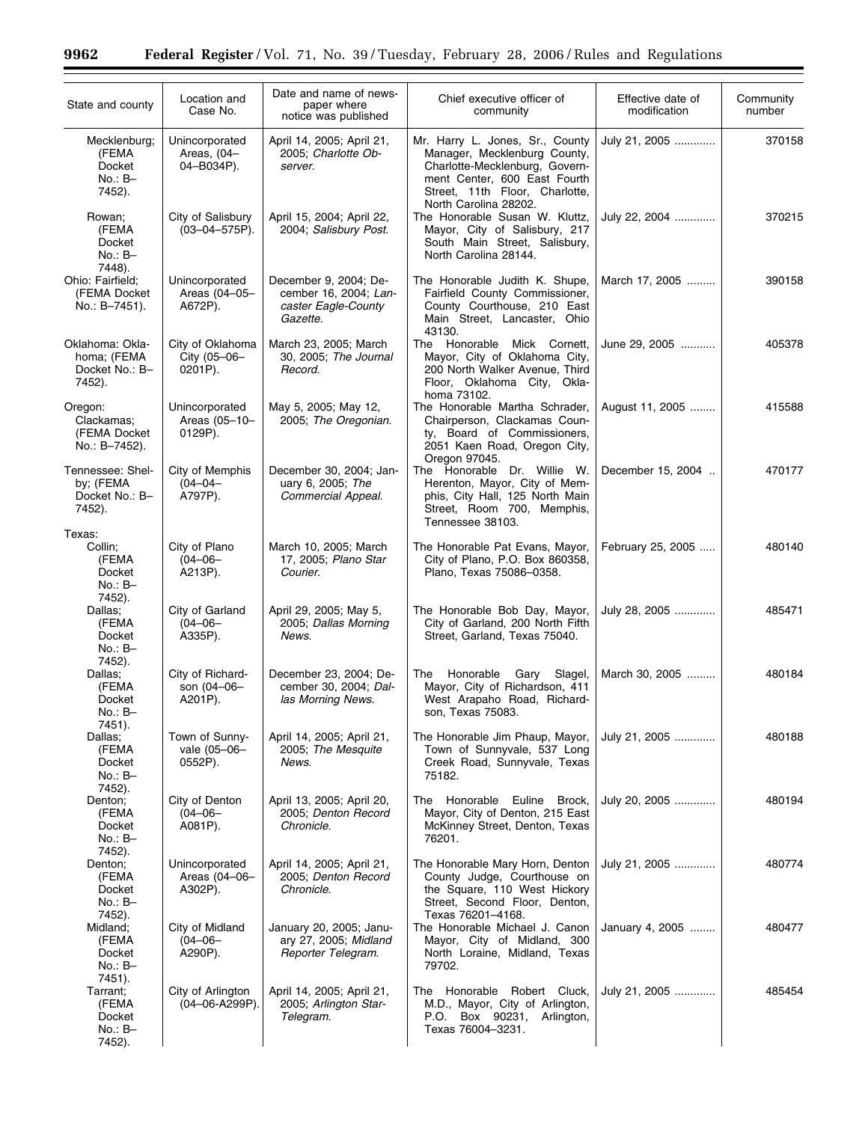٠

| State and county                                              | Location and<br>Case No.                    | Date and name of news-<br>paper where<br>notice was published                     | Chief executive officer of<br>community                                                                                                                                                      | Effective date of<br>modification | Community<br>number |
|---------------------------------------------------------------|---------------------------------------------|-----------------------------------------------------------------------------------|----------------------------------------------------------------------------------------------------------------------------------------------------------------------------------------------|-----------------------------------|---------------------|
| Mecklenburg;<br>(FEMA<br><b>Docket</b><br>$No.: B-$<br>7452). | Unincorporated<br>Areas, (04-<br>04-B034P). | April 14, 2005; April 21,<br>2005; Charlotte Ob-<br>server.                       | Mr. Harry L. Jones, Sr., County<br>Manager, Mecklenburg County,<br>Charlotte-Mecklenburg, Govern-<br>ment Center, 600 East Fourth<br>Street, 11th Floor, Charlotte,<br>North Carolina 28202. | July 21, 2005                     | 370158              |
| Rowan;<br>(FEMA<br>Docket<br>$No.: B-$<br>7448).              | City of Salisbury<br>$(03 - 04 - 575P)$ .   | April 15, 2004; April 22,<br>2004; Salisbury Post.                                | The Honorable Susan W. Kluttz,<br>Mayor, City of Salisbury, 217<br>South Main Street, Salisbury,<br>North Carolina 28144.                                                                    | July 22, 2004                     | 370215              |
| Ohio: Fairfield;<br>(FEMA Docket<br>No.: B-7451).             | Unincorporated<br>Areas (04-05-<br>A672P).  | December 9, 2004; De-<br>cember 16, 2004; Lan-<br>caster Eagle-County<br>Gazette. | The Honorable Judith K. Shupe,<br>Fairfield County Commissioner,<br>County Courthouse, 210 East<br>Main Street, Lancaster, Ohio<br>43130.                                                    | March 17, 2005                    | 390158              |
| Oklahoma: Okla-<br>homa; (FEMA<br>Docket No.: B-<br>7452).    | City of Oklahoma<br>City (05-06-<br>0201P). | March 23, 2005; March<br>30, 2005; The Journal<br>Record.                         | The Honorable Mick Cornett,<br>Mayor, City of Oklahoma City,<br>200 North Walker Avenue, Third<br>Floor, Oklahoma City, Okla-<br>homa 73102.                                                 | June 29, 2005                     | 405378              |
| Oregon:<br>Clackamas:<br>(FEMA Docket<br>No.: B-7452).        | Unincorporated<br>Areas (05-10-<br>0129P).  | May 5, 2005; May 12,<br>2005; The Oregonian.                                      | The Honorable Martha Schrader,<br>Chairperson, Clackamas Coun-<br>ty, Board of Commissioners,<br>2051 Kaen Road, Oregon City,<br>Oregon 97045.                                               | August 11, 2005                   | 415588              |
| Tennessee: Shel-<br>by; (FEMA<br>Docket No.: B-<br>7452).     | City of Memphis<br>$(04 - 04 -$<br>A797P).  | December 30, 2004; Jan-<br>uary 6, 2005; The<br>Commercial Appeal.                | The Honorable Dr. Willie W.<br>Herenton, Mayor, City of Mem-<br>phis, City Hall, 125 North Main<br>Street, Room 700, Memphis,<br>Tennessee 38103.                                            | December 15, 2004                 | 470177              |
| Texas:<br>Collin;<br>(FEMA<br>Docket<br>$No.: B-$             | City of Plano<br>$(04 - 06 -$<br>A213P).    | March 10, 2005; March<br>17, 2005; Plano Star<br>Courier.                         | The Honorable Pat Evans, Mayor,<br>City of Plano, P.O. Box 860358,<br>Plano, Texas 75086-0358.                                                                                               | February 25, 2005                 | 480140              |
| 7452).<br>Dallas;<br>(FEMA<br>Docket<br>$No.: B-$             | City of Garland<br>$(04 - 06 -$<br>A335P).  | April 29, 2005; May 5,<br>2005; Dallas Morning<br>News.                           | The Honorable Bob Day, Mayor,<br>City of Garland, 200 North Fifth<br>Street, Garland, Texas 75040.                                                                                           | July 28, 2005                     | 485471              |
| 7452).<br>Dallas:<br>(FEMA<br>Docket<br>$No.: B-$<br>7451).   | City of Richard-<br>son (04-06-<br>A201P).  | December 23, 2004; De-<br>cember 30, 2004; Dal-<br>las Morning News.              | Honorable<br>Gary<br>Slagel,<br>The<br>Mayor, City of Richardson, 411<br>West Arapaho Road, Richard-<br>son, Texas 75083.                                                                    | March 30, 2005                    | 480184              |
| Dallas;<br>(FEMA<br>Docket<br>No.: B-<br>7452).               | Town of Sunny-<br>vale (05-06-<br>0552P).   | April 14, 2005; April 21,<br>2005; The Mesquite<br>News.                          | The Honorable Jim Phaup, Mayor,<br>Town of Sunnyvale, 537 Long<br>Creek Road, Sunnyvale, Texas<br>75182.                                                                                     | July 21, 2005                     | 480188              |
| Denton;<br>(FEMA<br>Docket<br>$No.: B-$<br>7452).             | City of Denton<br>$(04 - 06 -$<br>A081P).   | April 13, 2005; April 20,<br>2005; Denton Record<br>Chronicle.                    | The Honorable Euline Brock,<br>Mayor, City of Denton, 215 East<br>McKinney Street, Denton, Texas<br>76201.                                                                                   | July 20, 2005                     | 480194              |
| Denton;<br>(FEMA<br>Docket<br>$No.: B-$<br>7452).             | Unincorporated<br>Areas (04-06-<br>A302P).  | April 14, 2005; April 21,<br>2005; Denton Record<br>Chronicle.                    | The Honorable Mary Horn, Denton<br>County Judge, Courthouse on<br>the Square, 110 West Hickory<br>Street, Second Floor, Denton,<br>Texas 76201-4168.                                         | July 21, 2005                     | 480774              |
| Midland;<br>(FEMA<br>Docket<br>$No.: B-$<br>7451).            | City of Midland<br>$(04 - 06 -$<br>A290P).  | January 20, 2005; Janu-<br>ary 27, 2005; Midland<br>Reporter Telegram.            | The Honorable Michael J. Canon<br>Mayor, City of Midland, 300<br>North Loraine, Midland, Texas<br>79702.                                                                                     | January 4, 2005                   | 480477              |
| Tarrant;<br>(FEMA<br>Docket<br>No.: B-<br>7452).              | City of Arlington<br>(04-06-A299P).         | April 14, 2005; April 21,<br>2005; Arlington Star-<br>Telegram.                   | The Honorable Robert Cluck,<br>M.D., Mayor, City of Arlington,<br>P.O. Box 90231, Arlington,<br>Texas 76004-3231.                                                                            | July 21, 2005                     | 485454              |